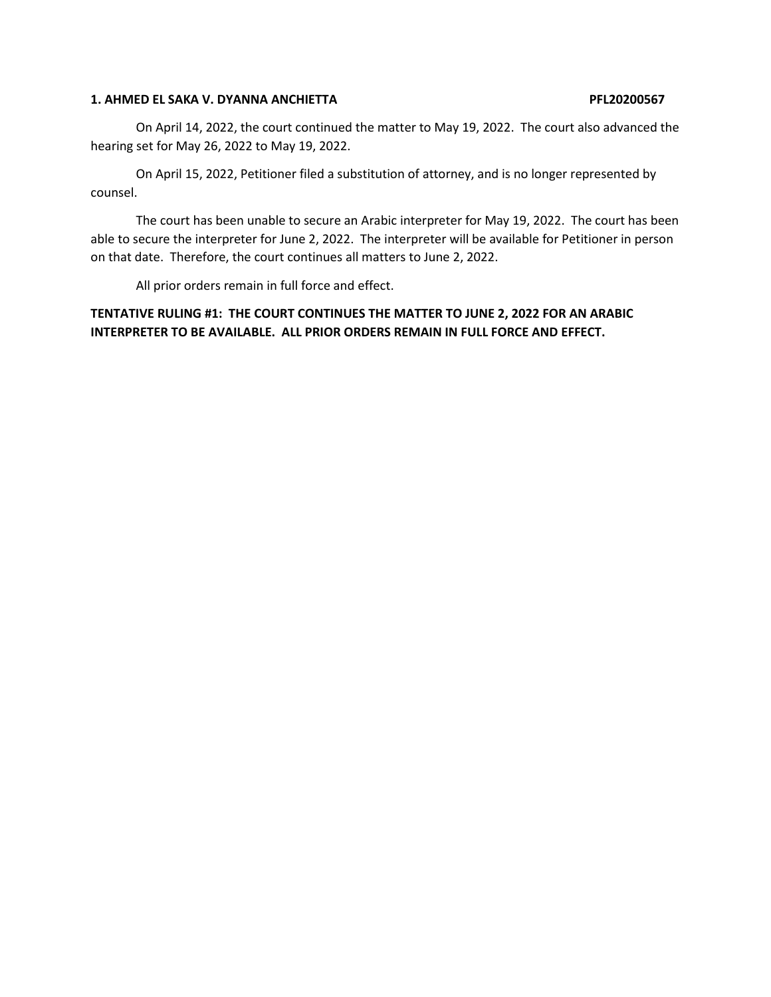### **1. AHMED EL SAKA V. DYANNA ANCHIETTA PFL20200567**

On April 14, 2022, the court continued the matter to May 19, 2022. The court also advanced the hearing set for May 26, 2022 to May 19, 2022.

On April 15, 2022, Petitioner filed a substitution of attorney, and is no longer represented by counsel.

The court has been unable to secure an Arabic interpreter for May 19, 2022. The court has been able to secure the interpreter for June 2, 2022. The interpreter will be available for Petitioner in person on that date. Therefore, the court continues all matters to June 2, 2022.

All prior orders remain in full force and effect.

**TENTATIVE RULING #1: THE COURT CONTINUES THE MATTER TO JUNE 2, 2022 FOR AN ARABIC INTERPRETER TO BE AVAILABLE. ALL PRIOR ORDERS REMAIN IN FULL FORCE AND EFFECT.**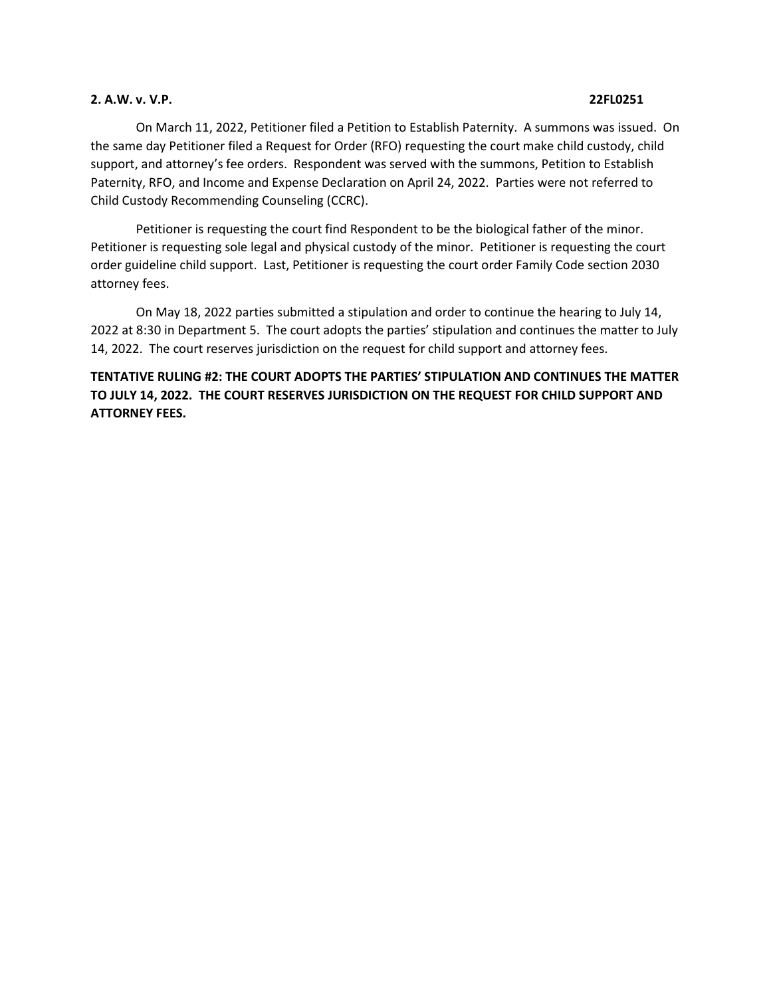### **2. A.W. v. V.P. 22FL0251**

On March 11, 2022, Petitioner filed a Petition to Establish Paternity. A summons was issued. On the same day Petitioner filed a Request for Order (RFO) requesting the court make child custody, child support, and attorney's fee orders. Respondent was served with the summons, Petition to Establish Paternity, RFO, and Income and Expense Declaration on April 24, 2022. Parties were not referred to Child Custody Recommending Counseling (CCRC).

Petitioner is requesting the court find Respondent to be the biological father of the minor. Petitioner is requesting sole legal and physical custody of the minor. Petitioner is requesting the court order guideline child support. Last, Petitioner is requesting the court order Family Code section 2030 attorney fees.

On May 18, 2022 parties submitted a stipulation and order to continue the hearing to July 14, 2022 at 8:30 in Department 5. The court adopts the parties' stipulation and continues the matter to July 14, 2022. The court reserves jurisdiction on the request for child support and attorney fees.

# **TENTATIVE RULING #2: THE COURT ADOPTS THE PARTIES' STIPULATION AND CONTINUES THE MATTER TO JULY 14, 2022. THE COURT RESERVES JURISDICTION ON THE REQUEST FOR CHILD SUPPORT AND ATTORNEY FEES.**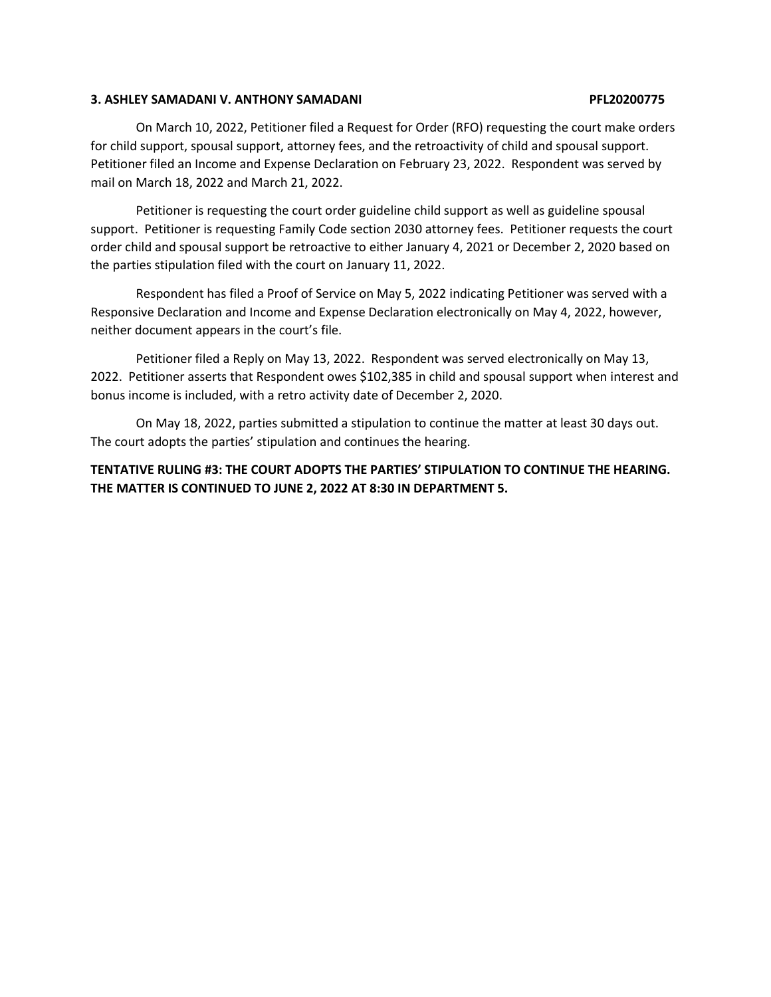## **3. ASHLEY SAMADANI V. ANTHONY SAMADANI PFL20200775**

On March 10, 2022, Petitioner filed a Request for Order (RFO) requesting the court make orders for child support, spousal support, attorney fees, and the retroactivity of child and spousal support. Petitioner filed an Income and Expense Declaration on February 23, 2022. Respondent was served by mail on March 18, 2022 and March 21, 2022.

Petitioner is requesting the court order guideline child support as well as guideline spousal support. Petitioner is requesting Family Code section 2030 attorney fees. Petitioner requests the court order child and spousal support be retroactive to either January 4, 2021 or December 2, 2020 based on the parties stipulation filed with the court on January 11, 2022.

Respondent has filed a Proof of Service on May 5, 2022 indicating Petitioner was served with a Responsive Declaration and Income and Expense Declaration electronically on May 4, 2022, however, neither document appears in the court's file.

Petitioner filed a Reply on May 13, 2022. Respondent was served electronically on May 13, 2022. Petitioner asserts that Respondent owes \$102,385 in child and spousal support when interest and bonus income is included, with a retro activity date of December 2, 2020.

On May 18, 2022, parties submitted a stipulation to continue the matter at least 30 days out. The court adopts the parties' stipulation and continues the hearing.

# **TENTATIVE RULING #3: THE COURT ADOPTS THE PARTIES' STIPULATION TO CONTINUE THE HEARING. THE MATTER IS CONTINUED TO JUNE 2, 2022 AT 8:30 IN DEPARTMENT 5.**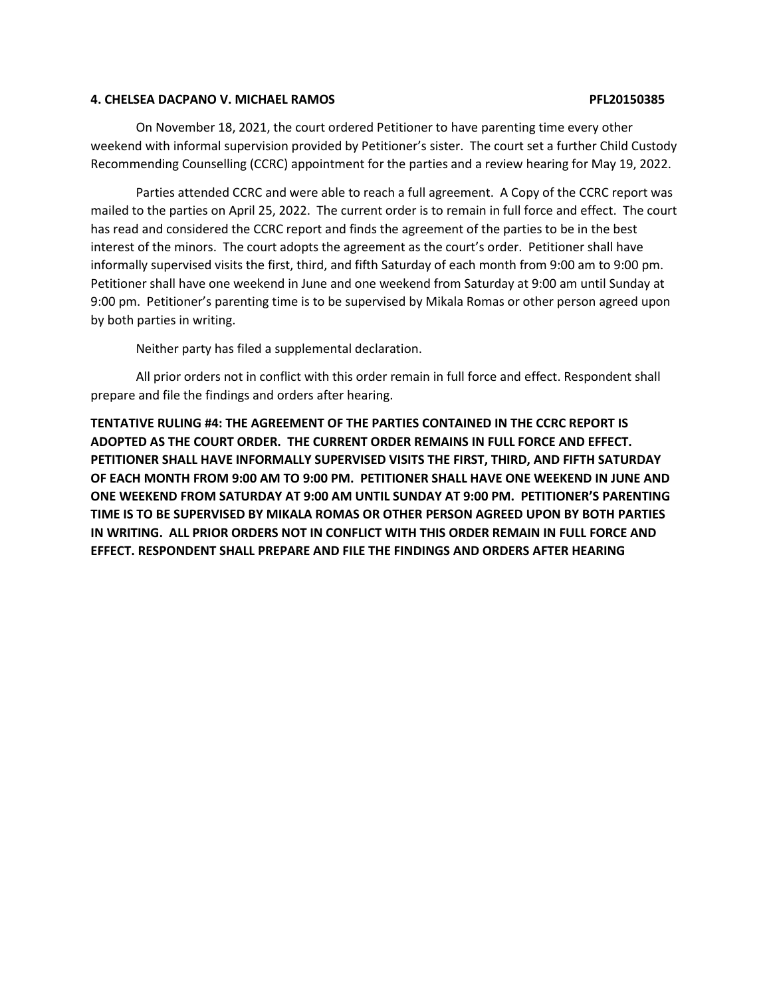## **4. CHELSEA DACPANO V. MICHAEL RAMOS PFL20150385**

On November 18, 2021, the court ordered Petitioner to have parenting time every other weekend with informal supervision provided by Petitioner's sister. The court set a further Child Custody Recommending Counselling (CCRC) appointment for the parties and a review hearing for May 19, 2022.

Parties attended CCRC and were able to reach a full agreement. A Copy of the CCRC report was mailed to the parties on April 25, 2022. The current order is to remain in full force and effect. The court has read and considered the CCRC report and finds the agreement of the parties to be in the best interest of the minors. The court adopts the agreement as the court's order. Petitioner shall have informally supervised visits the first, third, and fifth Saturday of each month from 9:00 am to 9:00 pm. Petitioner shall have one weekend in June and one weekend from Saturday at 9:00 am until Sunday at 9:00 pm. Petitioner's parenting time is to be supervised by Mikala Romas or other person agreed upon by both parties in writing.

Neither party has filed a supplemental declaration.

All prior orders not in conflict with this order remain in full force and effect. Respondent shall prepare and file the findings and orders after hearing.

**TENTATIVE RULING #4: THE AGREEMENT OF THE PARTIES CONTAINED IN THE CCRC REPORT IS ADOPTED AS THE COURT ORDER. THE CURRENT ORDER REMAINS IN FULL FORCE AND EFFECT. PETITIONER SHALL HAVE INFORMALLY SUPERVISED VISITS THE FIRST, THIRD, AND FIFTH SATURDAY OF EACH MONTH FROM 9:00 AM TO 9:00 PM. PETITIONER SHALL HAVE ONE WEEKEND IN JUNE AND ONE WEEKEND FROM SATURDAY AT 9:00 AM UNTIL SUNDAY AT 9:00 PM. PETITIONER'S PARENTING TIME IS TO BE SUPERVISED BY MIKALA ROMAS OR OTHER PERSON AGREED UPON BY BOTH PARTIES IN WRITING. ALL PRIOR ORDERS NOT IN CONFLICT WITH THIS ORDER REMAIN IN FULL FORCE AND EFFECT. RESPONDENT SHALL PREPARE AND FILE THE FINDINGS AND ORDERS AFTER HEARING**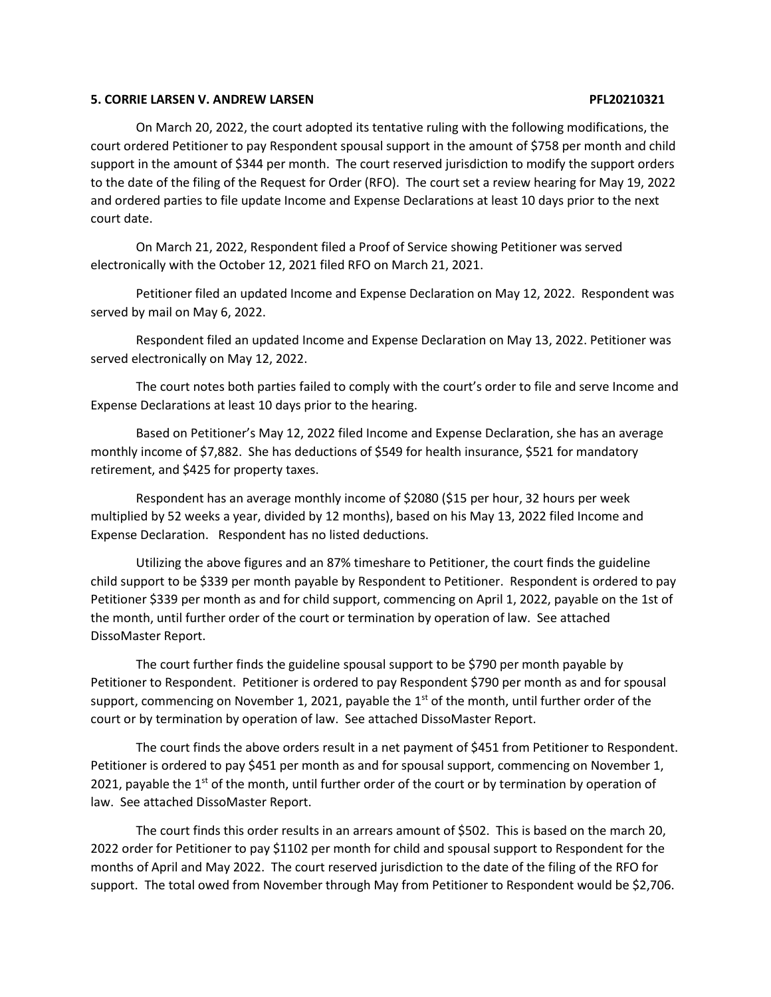## **5. CORRIE LARSEN V. ANDREW LARSEN PFL20210321**

On March 20, 2022, the court adopted its tentative ruling with the following modifications, the court ordered Petitioner to pay Respondent spousal support in the amount of \$758 per month and child support in the amount of \$344 per month. The court reserved jurisdiction to modify the support orders to the date of the filing of the Request for Order (RFO). The court set a review hearing for May 19, 2022 and ordered parties to file update Income and Expense Declarations at least 10 days prior to the next court date.

On March 21, 2022, Respondent filed a Proof of Service showing Petitioner was served electronically with the October 12, 2021 filed RFO on March 21, 2021.

Petitioner filed an updated Income and Expense Declaration on May 12, 2022. Respondent was served by mail on May 6, 2022.

Respondent filed an updated Income and Expense Declaration on May 13, 2022. Petitioner was served electronically on May 12, 2022.

The court notes both parties failed to comply with the court's order to file and serve Income and Expense Declarations at least 10 days prior to the hearing.

Based on Petitioner's May 12, 2022 filed Income and Expense Declaration, she has an average monthly income of \$7,882. She has deductions of \$549 for health insurance, \$521 for mandatory retirement, and \$425 for property taxes.

Respondent has an average monthly income of \$2080 (\$15 per hour, 32 hours per week multiplied by 52 weeks a year, divided by 12 months), based on his May 13, 2022 filed Income and Expense Declaration. Respondent has no listed deductions.

Utilizing the above figures and an 87% timeshare to Petitioner, the court finds the guideline child support to be \$339 per month payable by Respondent to Petitioner. Respondent is ordered to pay Petitioner \$339 per month as and for child support, commencing on April 1, 2022, payable on the 1st of the month, until further order of the court or termination by operation of law. See attached DissoMaster Report.

The court further finds the guideline spousal support to be \$790 per month payable by Petitioner to Respondent. Petitioner is ordered to pay Respondent \$790 per month as and for spousal support, commencing on November 1, 2021, payable the  $1<sup>st</sup>$  of the month, until further order of the court or by termination by operation of law. See attached DissoMaster Report.

The court finds the above orders result in a net payment of \$451 from Petitioner to Respondent. Petitioner is ordered to pay \$451 per month as and for spousal support, commencing on November 1, 2021, payable the  $1<sup>st</sup>$  of the month, until further order of the court or by termination by operation of law. See attached DissoMaster Report.

The court finds this order results in an arrears amount of \$502. This is based on the march 20, 2022 order for Petitioner to pay \$1102 per month for child and spousal support to Respondent for the months of April and May 2022. The court reserved jurisdiction to the date of the filing of the RFO for support. The total owed from November through May from Petitioner to Respondent would be \$2,706.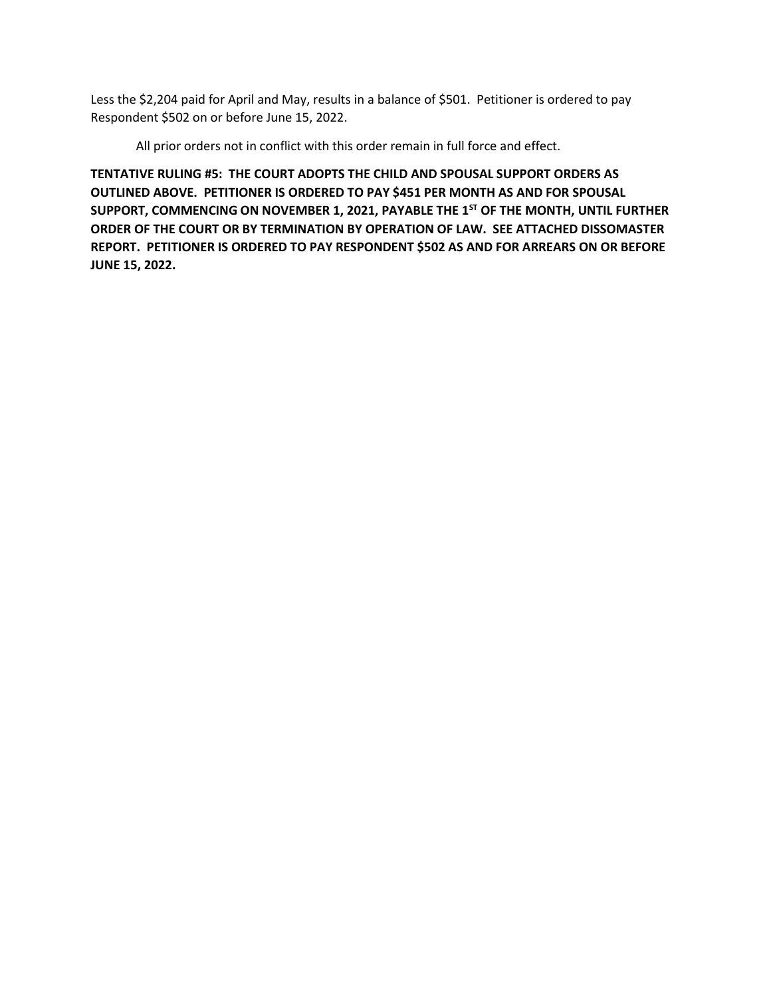Less the \$2,204 paid for April and May, results in a balance of \$501. Petitioner is ordered to pay Respondent \$502 on or before June 15, 2022.

All prior orders not in conflict with this order remain in full force and effect.

**TENTATIVE RULING #5: THE COURT ADOPTS THE CHILD AND SPOUSAL SUPPORT ORDERS AS OUTLINED ABOVE. PETITIONER IS ORDERED TO PAY \$451 PER MONTH AS AND FOR SPOUSAL SUPPORT, COMMENCING ON NOVEMBER 1, 2021, PAYABLE THE 1ST OF THE MONTH, UNTIL FURTHER ORDER OF THE COURT OR BY TERMINATION BY OPERATION OF LAW. SEE ATTACHED DISSOMASTER REPORT. PETITIONER IS ORDERED TO PAY RESPONDENT \$502 AS AND FOR ARREARS ON OR BEFORE JUNE 15, 2022.**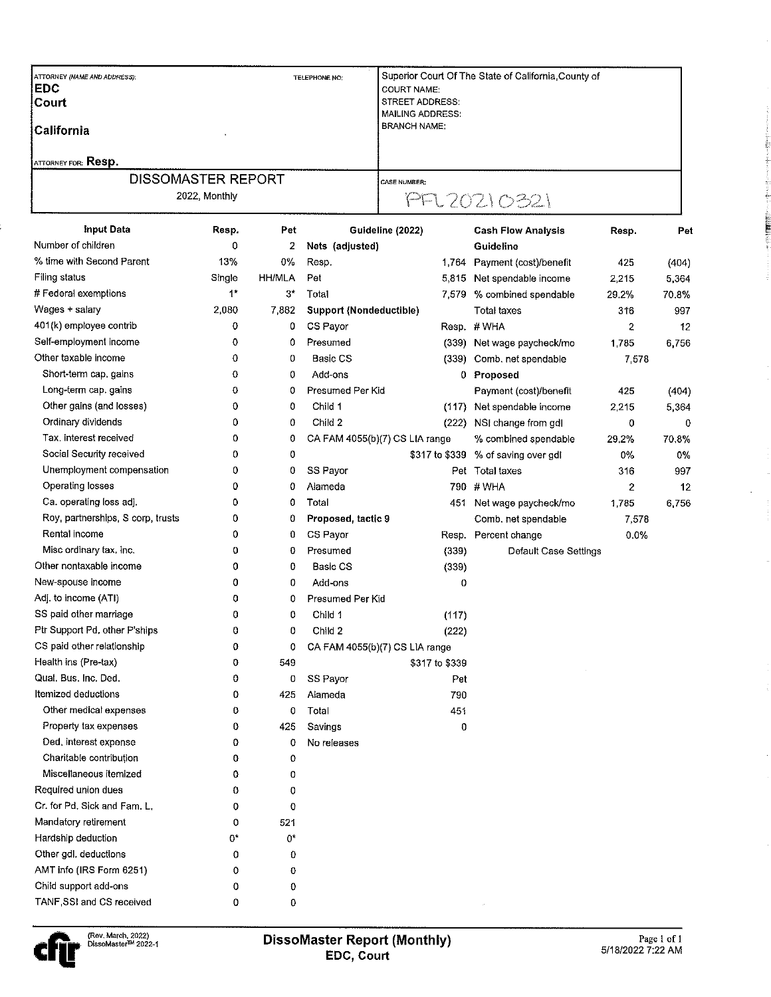| ATTORNEY (NAME AND ADDRESS):<br><b>EDC</b> | TELEPHONE NO: |               |                                | Superior Court Of The State of California County of<br><b>COURT NAME:</b> |                              |             |       |  |  |
|--------------------------------------------|---------------|---------------|--------------------------------|---------------------------------------------------------------------------|------------------------------|-------------|-------|--|--|
| Court                                      |               |               |                                | STREET ADDRESS:<br>MAILING ADDRESS:                                       |                              |             |       |  |  |
| <b>California</b>                          |               |               |                                | <b>BRANCH NAME:</b>                                                       |                              |             |       |  |  |
| <b>ATTORNEY FOR: Resp.</b>                 |               |               |                                |                                                                           |                              |             |       |  |  |
| <b>DISSOMASTER REPORT</b>                  |               |               |                                | <b>CASE NUMBER:</b>                                                       |                              |             |       |  |  |
| 2022, Monthly                              |               |               |                                | PFL 20210321                                                              |                              |             |       |  |  |
| <b>Input Data</b>                          | Resp.         | Pet           |                                | Guideline (2022)                                                          | <b>Cash Flow Analysis</b>    | Resp.       | Pet   |  |  |
| Number of children                         | 0             | 2             | Nets (adjusted)                |                                                                           | Guideline                    |             |       |  |  |
| % time with Second Parent                  | 13%           | 0%            | Resp.                          |                                                                           | 1,764 Payment (cost)/benefit | 425         | (404) |  |  |
| <b>Filing status</b>                       | Single        | <b>HH/MLA</b> | Pet                            |                                                                           | 5,815 Net spendable income   | 2,215       | 5,364 |  |  |
| # Federal exemptions                       | $1^*$         | 3*            | Total                          | 7,579                                                                     | % combined spendable         | 29.2%       | 70.8% |  |  |
| Wages + salary                             | 2,080         | 7,882         | <b>Support (Nondeductible)</b> |                                                                           | <b>Total taxes</b>           | 316         | 997   |  |  |
| 401(k) employee contrib                    | 0             | 0             | CS Payor                       |                                                                           | Resp. #WHA                   | 2           | 12    |  |  |
| Self-employment income                     | 0             | 0             | Presumed                       |                                                                           | (339) Net wage paycheck/mo   | 1,785       | 6,756 |  |  |
| Other taxable income                       | 0             | 0             | Basic CS                       |                                                                           | (339) Comb. net spendable    | 7,578       |       |  |  |
| Short-term cap, gains                      | 0             | 0             | Add-ons                        | 0.                                                                        | Proposed                     |             |       |  |  |
| Long-term cap. gains                       | 0             | 0             | Presumed Per Kid               |                                                                           | Payment (cost)/benefit       | 425         | (404) |  |  |
| Other gains (and losses)                   | 0             | 0             | Child 1                        | (117)                                                                     | Net spendable income         | 2,215       | 5,364 |  |  |
| Ordinary dividends                         | 0             | 0             | Child 2                        | (222)                                                                     | NSI change from gdl          | 0           | 0     |  |  |
| Tax, interest received                     | 0             | 0             |                                | CA FAM 4055(b)(7) CS LIA range                                            | % combined spendable         | 29,2%       | 70.8% |  |  |
| Social Security received                   | 0             | 0             |                                | \$317 to \$339                                                            | % of saving over gdl         | 0%          | 0%    |  |  |
| Unemployment compensation                  | 0             | 0             | SS Payor                       |                                                                           | Pet Total taxes              | 316         | 997   |  |  |
| Operating losses                           | 0             | 0             | Alameda                        | 790.                                                                      | # WHA                        | $\mathbf 2$ | 12    |  |  |
| Ca. operating loss adj.                    | 0             | 0             | Total                          | 451                                                                       | Net wage paycheck/mo         | 1,785       | 6,756 |  |  |
| Roy, partnerships, S corp, trusts          | 0             | 0             | Proposed, tactic 9             |                                                                           | Comb. net spendable          | 7,578       |       |  |  |
| Rental income                              | 0             | 0             | CS Payor<br>Resp.              |                                                                           | Percent change               | 0.0%        |       |  |  |
| Misc ordinary tax, inc.                    | 0             | 0             | Presumed<br>(339)              |                                                                           | Default Case Settings        |             |       |  |  |
| Other nontaxable income                    | 0             | 0             | Basic CS                       | (339)                                                                     |                              |             |       |  |  |
| New-spouse income                          | 0             | 0             | Add-ons                        | 0                                                                         |                              |             |       |  |  |
| Adj. to income (ATI)                       | 0             | 0             | Presumed Per Kid               |                                                                           |                              |             |       |  |  |
| SS paid other marriage                     | 0             | 0             | Child 1                        | (117)                                                                     |                              |             |       |  |  |
| Ptr Support Pd, other P'ships              | 0             | 0             | Child 2                        | (222)                                                                     |                              |             |       |  |  |
| CS paid other relationship                 | 0             | 0             | CA FAM 4055(b)(7) CS LIA range |                                                                           |                              |             |       |  |  |
| Health ins (Pre-tax)                       | 0             | 549           | \$317 to \$339                 |                                                                           |                              |             |       |  |  |
| Qual. Bus. Inc. Ded.                       | 0             | 0             | SS Payor                       | Pet                                                                       |                              |             |       |  |  |
| Itemized deductions                        | 0             | 425           | Alameda                        | 790                                                                       |                              |             |       |  |  |
| Other medical expenses                     | 0             | 0             | Total                          | 451                                                                       |                              |             |       |  |  |
| Property tax expenses                      | 0             | 425           | Savings                        | 0                                                                         |                              |             |       |  |  |
| Ded, interest expense                      | 0             | 0             | No releases                    |                                                                           |                              |             |       |  |  |
| Charitable contribution                    | 0             | 0             |                                |                                                                           |                              |             |       |  |  |
| Miscellaneous itemized                     | 0             | 0             |                                |                                                                           |                              |             |       |  |  |
| Required union dues                        | 0             | 0             |                                |                                                                           |                              |             |       |  |  |
| Cr. for Pd. Sick and Fam. L.               | 0             | 0             |                                |                                                                           |                              |             |       |  |  |
| Mandatory retirement                       | 0             | 521           |                                |                                                                           |                              |             |       |  |  |
| Hardship deduction                         | 0*            | 0*            |                                |                                                                           |                              |             |       |  |  |
| Other gdl. deductions                      | 0             | 0             |                                |                                                                           |                              |             |       |  |  |
| AMT info (IRS Form 6251)                   | 0             | 0             |                                |                                                                           |                              |             |       |  |  |
| Child support add-ons                      | 0             | 0             |                                |                                                                           |                              |             |       |  |  |
| TANF, SSI and CS received                  | 0             | 0             |                                |                                                                           |                              |             |       |  |  |
|                                            |               |               |                                |                                                                           |                              |             |       |  |  |



 $\ddot{\phantom{a}}$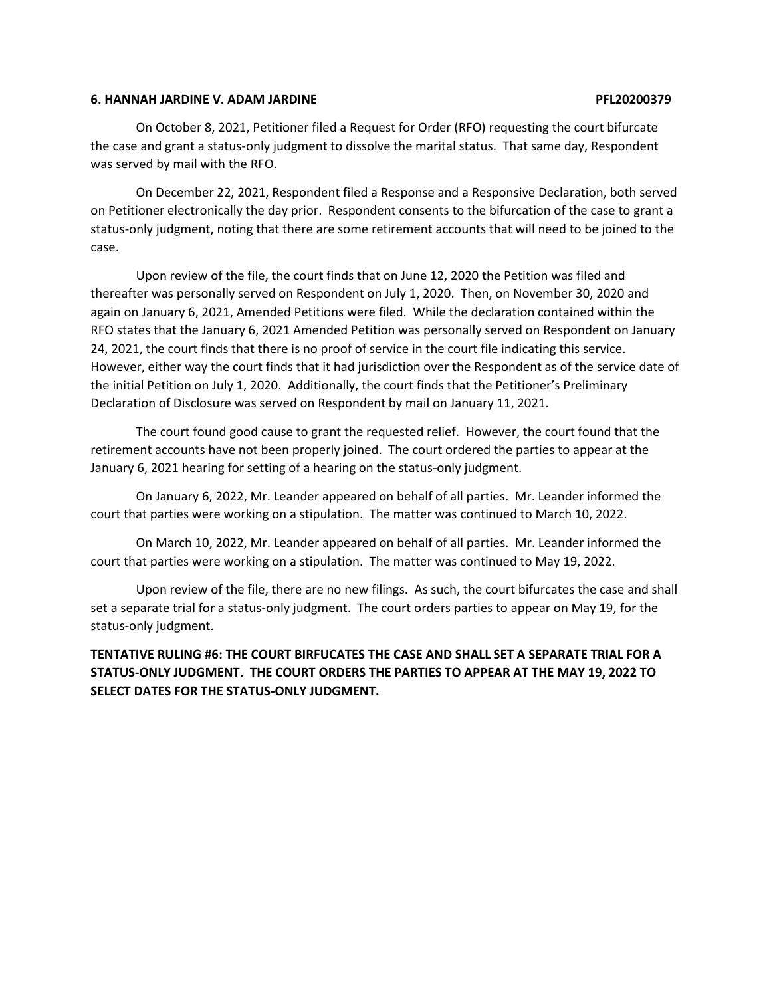## **6. HANNAH JARDINE V. ADAM JARDINE PFL20200379**

On October 8, 2021, Petitioner filed a Request for Order (RFO) requesting the court bifurcate the case and grant a status-only judgment to dissolve the marital status. That same day, Respondent was served by mail with the RFO.

On December 22, 2021, Respondent filed a Response and a Responsive Declaration, both served on Petitioner electronically the day prior. Respondent consents to the bifurcation of the case to grant a status-only judgment, noting that there are some retirement accounts that will need to be joined to the case.

Upon review of the file, the court finds that on June 12, 2020 the Petition was filed and thereafter was personally served on Respondent on July 1, 2020. Then, on November 30, 2020 and again on January 6, 2021, Amended Petitions were filed. While the declaration contained within the RFO states that the January 6, 2021 Amended Petition was personally served on Respondent on January 24, 2021, the court finds that there is no proof of service in the court file indicating this service. However, either way the court finds that it had jurisdiction over the Respondent as of the service date of the initial Petition on July 1, 2020. Additionally, the court finds that the Petitioner's Preliminary Declaration of Disclosure was served on Respondent by mail on January 11, 2021.

The court found good cause to grant the requested relief. However, the court found that the retirement accounts have not been properly joined. The court ordered the parties to appear at the January 6, 2021 hearing for setting of a hearing on the status-only judgment.

On January 6, 2022, Mr. Leander appeared on behalf of all parties. Mr. Leander informed the court that parties were working on a stipulation. The matter was continued to March 10, 2022.

On March 10, 2022, Mr. Leander appeared on behalf of all parties. Mr. Leander informed the court that parties were working on a stipulation. The matter was continued to May 19, 2022.

Upon review of the file, there are no new filings. As such, the court bifurcates the case and shall set a separate trial for a status-only judgment. The court orders parties to appear on May 19, for the status-only judgment.

# **TENTATIVE RULING #6: THE COURT BIRFUCATES THE CASE AND SHALL SET A SEPARATE TRIAL FOR A STATUS-ONLY JUDGMENT. THE COURT ORDERS THE PARTIES TO APPEAR AT THE MAY 19, 2022 TO SELECT DATES FOR THE STATUS-ONLY JUDGMENT.**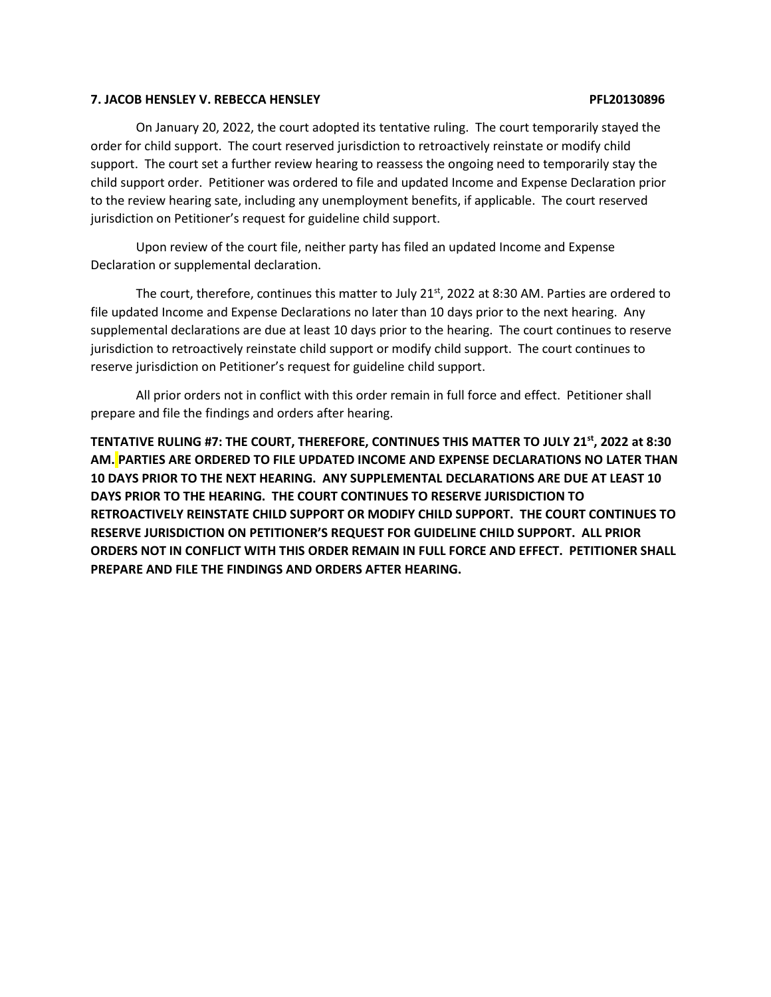## **7. JACOB HENSLEY V. REBECCA HENSLEY PFL20130896**

# On January 20, 2022, the court adopted its tentative ruling. The court temporarily stayed the order for child support. The court reserved jurisdiction to retroactively reinstate or modify child support. The court set a further review hearing to reassess the ongoing need to temporarily stay the child support order. Petitioner was ordered to file and updated Income and Expense Declaration prior to the review hearing sate, including any unemployment benefits, if applicable. The court reserved jurisdiction on Petitioner's request for guideline child support.

Upon review of the court file, neither party has filed an updated Income and Expense Declaration or supplemental declaration.

The court, therefore, continues this matter to July 21 $<sup>st</sup>$ , 2022 at 8:30 AM. Parties are ordered to</sup> file updated Income and Expense Declarations no later than 10 days prior to the next hearing. Any supplemental declarations are due at least 10 days prior to the hearing. The court continues to reserve jurisdiction to retroactively reinstate child support or modify child support. The court continues to reserve jurisdiction on Petitioner's request for guideline child support.

All prior orders not in conflict with this order remain in full force and effect. Petitioner shall prepare and file the findings and orders after hearing.

**TENTATIVE RULING #7: THE COURT, THEREFORE, CONTINUES THIS MATTER TO JULY 21st, 2022 at 8:30 AM. PARTIES ARE ORDERED TO FILE UPDATED INCOME AND EXPENSE DECLARATIONS NO LATER THAN 10 DAYS PRIOR TO THE NEXT HEARING. ANY SUPPLEMENTAL DECLARATIONS ARE DUE AT LEAST 10 DAYS PRIOR TO THE HEARING. THE COURT CONTINUES TO RESERVE JURISDICTION TO RETROACTIVELY REINSTATE CHILD SUPPORT OR MODIFY CHILD SUPPORT. THE COURT CONTINUES TO RESERVE JURISDICTION ON PETITIONER'S REQUEST FOR GUIDELINE CHILD SUPPORT. ALL PRIOR ORDERS NOT IN CONFLICT WITH THIS ORDER REMAIN IN FULL FORCE AND EFFECT. PETITIONER SHALL PREPARE AND FILE THE FINDINGS AND ORDERS AFTER HEARING.**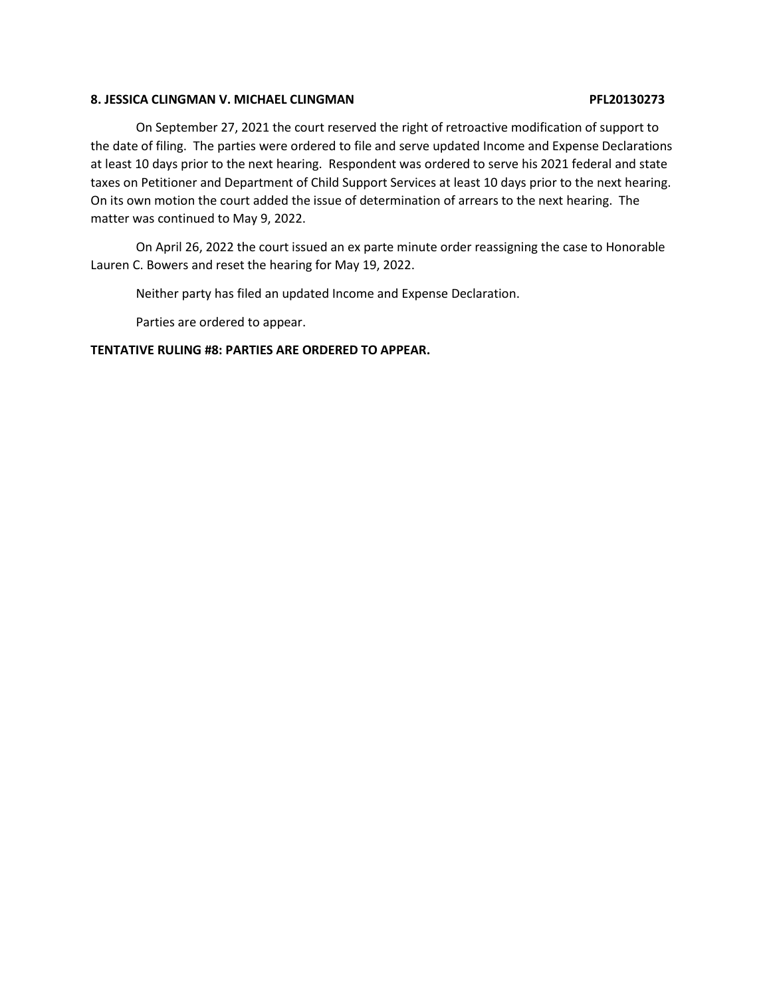## **8. JESSICA CLINGMAN V. MICHAEL CLINGMAN PFL20130273**

On September 27, 2021 the court reserved the right of retroactive modification of support to the date of filing. The parties were ordered to file and serve updated Income and Expense Declarations at least 10 days prior to the next hearing. Respondent was ordered to serve his 2021 federal and state taxes on Petitioner and Department of Child Support Services at least 10 days prior to the next hearing. On its own motion the court added the issue of determination of arrears to the next hearing. The matter was continued to May 9, 2022.

On April 26, 2022 the court issued an ex parte minute order reassigning the case to Honorable Lauren C. Bowers and reset the hearing for May 19, 2022.

Neither party has filed an updated Income and Expense Declaration.

Parties are ordered to appear.

## **TENTATIVE RULING #8: PARTIES ARE ORDERED TO APPEAR.**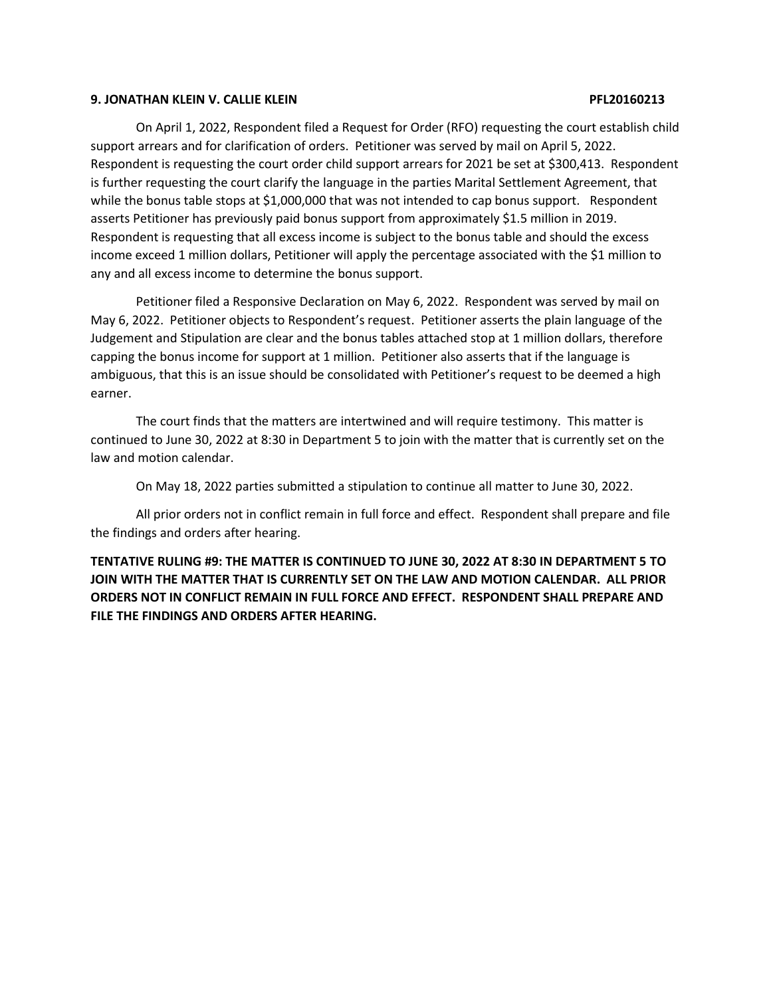### **9. JONATHAN KLEIN V. CALLIE KLEIN PFL20160213**

On April 1, 2022, Respondent filed a Request for Order (RFO) requesting the court establish child support arrears and for clarification of orders. Petitioner was served by mail on April 5, 2022. Respondent is requesting the court order child support arrears for 2021 be set at \$300,413. Respondent is further requesting the court clarify the language in the parties Marital Settlement Agreement, that while the bonus table stops at \$1,000,000 that was not intended to cap bonus support. Respondent asserts Petitioner has previously paid bonus support from approximately \$1.5 million in 2019. Respondent is requesting that all excess income is subject to the bonus table and should the excess income exceed 1 million dollars, Petitioner will apply the percentage associated with the \$1 million to any and all excess income to determine the bonus support.

Petitioner filed a Responsive Declaration on May 6, 2022. Respondent was served by mail on May 6, 2022. Petitioner objects to Respondent's request. Petitioner asserts the plain language of the Judgement and Stipulation are clear and the bonus tables attached stop at 1 million dollars, therefore capping the bonus income for support at 1 million. Petitioner also asserts that if the language is ambiguous, that this is an issue should be consolidated with Petitioner's request to be deemed a high earner.

The court finds that the matters are intertwined and will require testimony. This matter is continued to June 30, 2022 at 8:30 in Department 5 to join with the matter that is currently set on the law and motion calendar.

On May 18, 2022 parties submitted a stipulation to continue all matter to June 30, 2022.

All prior orders not in conflict remain in full force and effect. Respondent shall prepare and file the findings and orders after hearing.

**TENTATIVE RULING #9: THE MATTER IS CONTINUED TO JUNE 30, 2022 AT 8:30 IN DEPARTMENT 5 TO JOIN WITH THE MATTER THAT IS CURRENTLY SET ON THE LAW AND MOTION CALENDAR. ALL PRIOR ORDERS NOT IN CONFLICT REMAIN IN FULL FORCE AND EFFECT. RESPONDENT SHALL PREPARE AND FILE THE FINDINGS AND ORDERS AFTER HEARING.**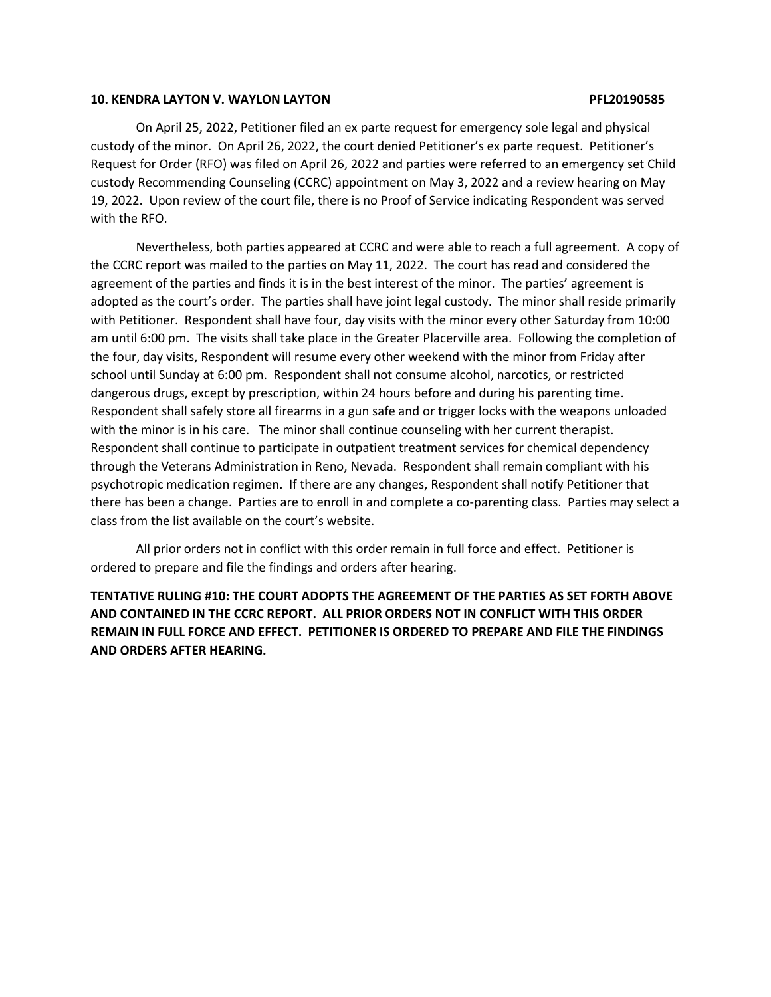### **10. KENDRA LAYTON V. WAYLON LAYTON PFL20190585**

On April 25, 2022, Petitioner filed an ex parte request for emergency sole legal and physical custody of the minor. On April 26, 2022, the court denied Petitioner's ex parte request. Petitioner's Request for Order (RFO) was filed on April 26, 2022 and parties were referred to an emergency set Child custody Recommending Counseling (CCRC) appointment on May 3, 2022 and a review hearing on May 19, 2022. Upon review of the court file, there is no Proof of Service indicating Respondent was served with the RFO.

Nevertheless, both parties appeared at CCRC and were able to reach a full agreement. A copy of the CCRC report was mailed to the parties on May 11, 2022. The court has read and considered the agreement of the parties and finds it is in the best interest of the minor. The parties' agreement is adopted as the court's order. The parties shall have joint legal custody. The minor shall reside primarily with Petitioner. Respondent shall have four, day visits with the minor every other Saturday from 10:00 am until 6:00 pm. The visits shall take place in the Greater Placerville area. Following the completion of the four, day visits, Respondent will resume every other weekend with the minor from Friday after school until Sunday at 6:00 pm. Respondent shall not consume alcohol, narcotics, or restricted dangerous drugs, except by prescription, within 24 hours before and during his parenting time. Respondent shall safely store all firearms in a gun safe and or trigger locks with the weapons unloaded with the minor is in his care. The minor shall continue counseling with her current therapist. Respondent shall continue to participate in outpatient treatment services for chemical dependency through the Veterans Administration in Reno, Nevada. Respondent shall remain compliant with his psychotropic medication regimen. If there are any changes, Respondent shall notify Petitioner that there has been a change. Parties are to enroll in and complete a co-parenting class. Parties may select a class from the list available on the court's website.

All prior orders not in conflict with this order remain in full force and effect. Petitioner is ordered to prepare and file the findings and orders after hearing.

**TENTATIVE RULING #10: THE COURT ADOPTS THE AGREEMENT OF THE PARTIES AS SET FORTH ABOVE AND CONTAINED IN THE CCRC REPORT. ALL PRIOR ORDERS NOT IN CONFLICT WITH THIS ORDER REMAIN IN FULL FORCE AND EFFECT. PETITIONER IS ORDERED TO PREPARE AND FILE THE FINDINGS AND ORDERS AFTER HEARING.**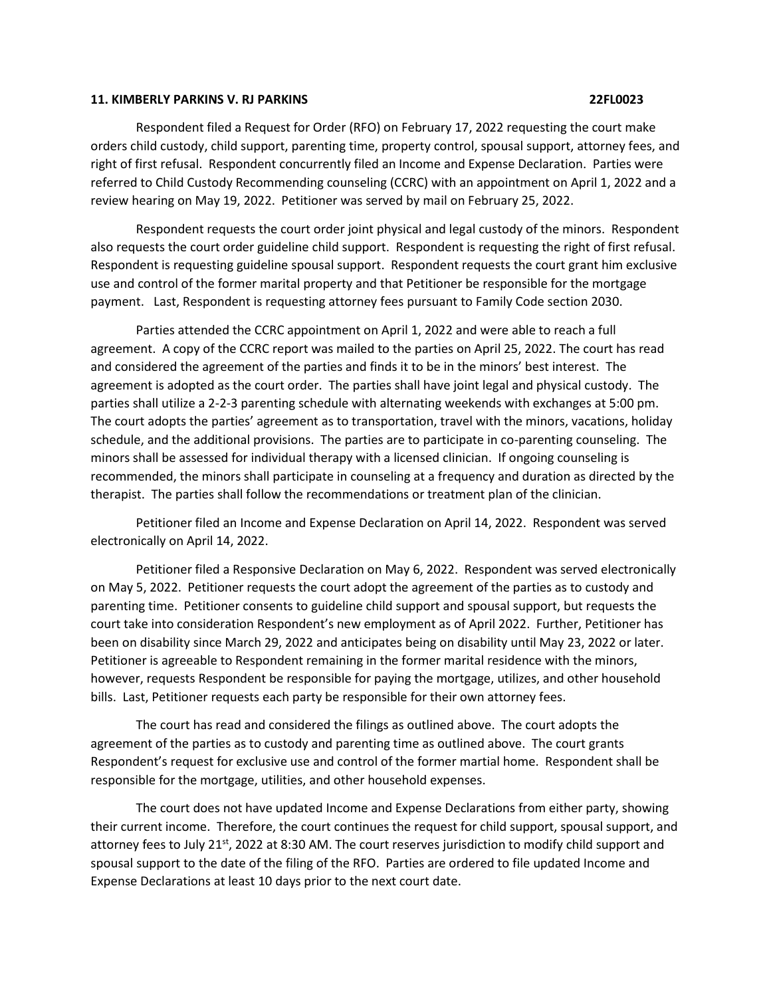### **11. KIMBERLY PARKINS V. RJ PARKINS 22FL0023**

Respondent filed a Request for Order (RFO) on February 17, 2022 requesting the court make orders child custody, child support, parenting time, property control, spousal support, attorney fees, and right of first refusal. Respondent concurrently filed an Income and Expense Declaration. Parties were referred to Child Custody Recommending counseling (CCRC) with an appointment on April 1, 2022 and a review hearing on May 19, 2022. Petitioner was served by mail on February 25, 2022.

Respondent requests the court order joint physical and legal custody of the minors. Respondent also requests the court order guideline child support. Respondent is requesting the right of first refusal. Respondent is requesting guideline spousal support. Respondent requests the court grant him exclusive use and control of the former marital property and that Petitioner be responsible for the mortgage payment. Last, Respondent is requesting attorney fees pursuant to Family Code section 2030.

Parties attended the CCRC appointment on April 1, 2022 and were able to reach a full agreement. A copy of the CCRC report was mailed to the parties on April 25, 2022. The court has read and considered the agreement of the parties and finds it to be in the minors' best interest. The agreement is adopted as the court order. The parties shall have joint legal and physical custody. The parties shall utilize a 2-2-3 parenting schedule with alternating weekends with exchanges at 5:00 pm. The court adopts the parties' agreement as to transportation, travel with the minors, vacations, holiday schedule, and the additional provisions. The parties are to participate in co-parenting counseling. The minors shall be assessed for individual therapy with a licensed clinician. If ongoing counseling is recommended, the minors shall participate in counseling at a frequency and duration as directed by the therapist. The parties shall follow the recommendations or treatment plan of the clinician.

Petitioner filed an Income and Expense Declaration on April 14, 2022. Respondent was served electronically on April 14, 2022.

Petitioner filed a Responsive Declaration on May 6, 2022. Respondent was served electronically on May 5, 2022. Petitioner requests the court adopt the agreement of the parties as to custody and parenting time. Petitioner consents to guideline child support and spousal support, but requests the court take into consideration Respondent's new employment as of April 2022. Further, Petitioner has been on disability since March 29, 2022 and anticipates being on disability until May 23, 2022 or later. Petitioner is agreeable to Respondent remaining in the former marital residence with the minors, however, requests Respondent be responsible for paying the mortgage, utilizes, and other household bills. Last, Petitioner requests each party be responsible for their own attorney fees.

The court has read and considered the filings as outlined above. The court adopts the agreement of the parties as to custody and parenting time as outlined above. The court grants Respondent's request for exclusive use and control of the former martial home. Respondent shall be responsible for the mortgage, utilities, and other household expenses.

The court does not have updated Income and Expense Declarations from either party, showing their current income. Therefore, the court continues the request for child support, spousal support, and attorney fees to July 21<sup>st</sup>, 2022 at 8:30 AM. The court reserves jurisdiction to modify child support and spousal support to the date of the filing of the RFO. Parties are ordered to file updated Income and Expense Declarations at least 10 days prior to the next court date.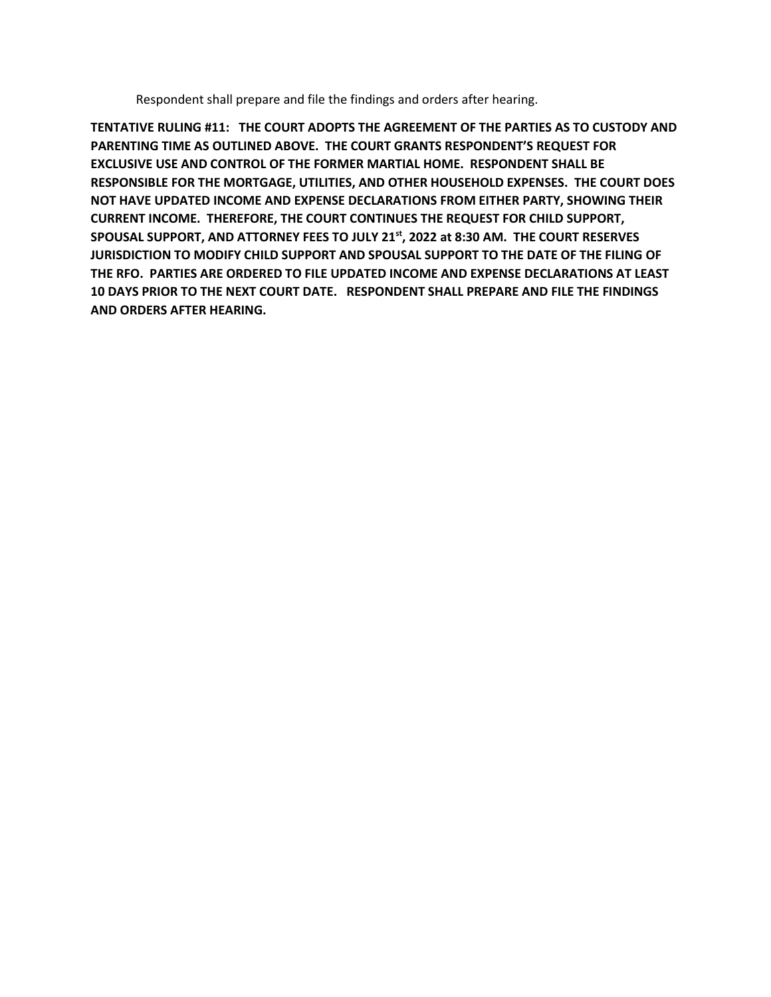Respondent shall prepare and file the findings and orders after hearing.

**TENTATIVE RULING #11: THE COURT ADOPTS THE AGREEMENT OF THE PARTIES AS TO CUSTODY AND PARENTING TIME AS OUTLINED ABOVE. THE COURT GRANTS RESPONDENT'S REQUEST FOR EXCLUSIVE USE AND CONTROL OF THE FORMER MARTIAL HOME. RESPONDENT SHALL BE RESPONSIBLE FOR THE MORTGAGE, UTILITIES, AND OTHER HOUSEHOLD EXPENSES. THE COURT DOES NOT HAVE UPDATED INCOME AND EXPENSE DECLARATIONS FROM EITHER PARTY, SHOWING THEIR CURRENT INCOME. THEREFORE, THE COURT CONTINUES THE REQUEST FOR CHILD SUPPORT, SPOUSAL SUPPORT, AND ATTORNEY FEES TO JULY 21st, 2022 at 8:30 AM. THE COURT RESERVES JURISDICTION TO MODIFY CHILD SUPPORT AND SPOUSAL SUPPORT TO THE DATE OF THE FILING OF THE RFO. PARTIES ARE ORDERED TO FILE UPDATED INCOME AND EXPENSE DECLARATIONS AT LEAST 10 DAYS PRIOR TO THE NEXT COURT DATE. RESPONDENT SHALL PREPARE AND FILE THE FINDINGS AND ORDERS AFTER HEARING.**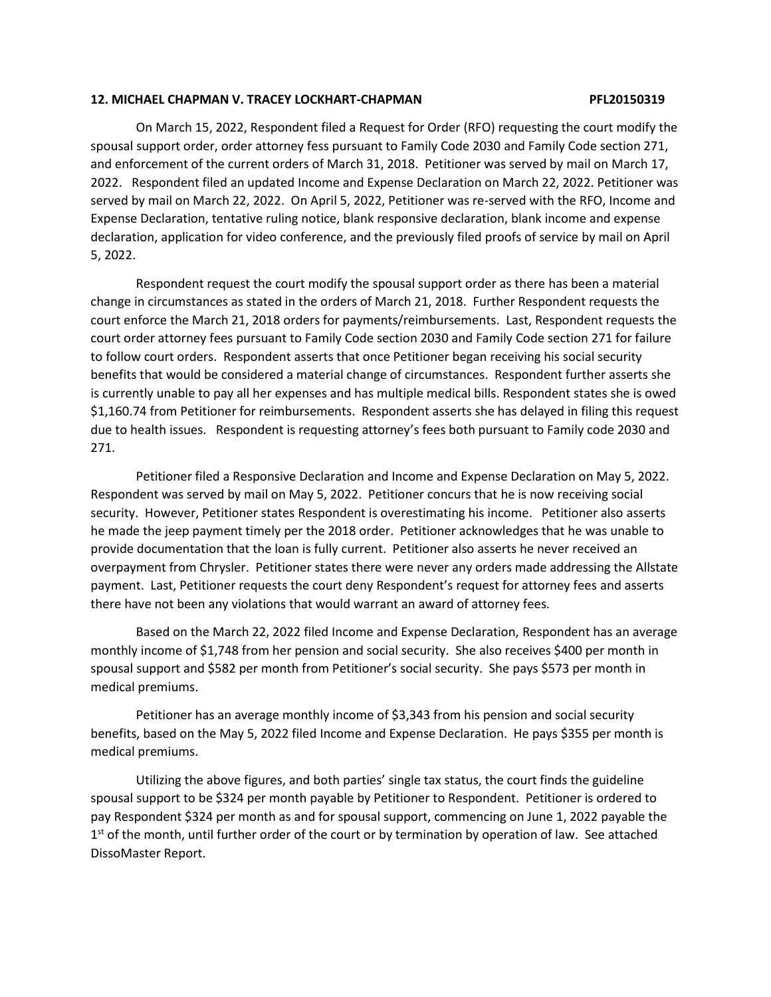### **12. MICHAEL CHAPMAN V. TRACEY LOCKHART-CHAPMAN PFL20150319**

On March 15, 2022, Respondent filed a Request for Order (RFO) requesting the court modify the spousal support order, order attorney fess pursuant to Family Code 2030 and Family Code section 271, and enforcement of the current orders of March 31, 2018. Petitioner was served by mail on March 17, 2022. Respondent filed an updated Income and Expense Declaration on March 22, 2022. Petitioner was served by mail on March 22, 2022. On April 5, 2022, Petitioner was re-served with the RFO, Income and Expense Declaration, tentative ruling notice, blank responsive declaration, blank income and expense declaration, application for video conference, and the previously filed proofs of service by mail on April 5, 2022.

Respondent request the court modify the spousal support order as there has been a material change in circumstances as stated in the orders of March 21, 2018. Further Respondent requests the court enforce the March 21, 2018 orders for payments/reimbursements. Last, Respondent requests the court order attorney fees pursuant to Family Code section 2030 and Family Code section 271 for failure to follow court orders. Respondent asserts that once Petitioner began receiving his social security benefits that would be considered a material change of circumstances. Respondent further asserts she is currently unable to pay all her expenses and has multiple medical bills. Respondent states she is owed \$1,160.74 from Petitioner for reimbursements. Respondent asserts she has delayed in filing this request due to health issues. Respondent is requesting attorney's fees both pursuant to Family code 2030 and 271.

Petitioner filed a Responsive Declaration and Income and Expense Declaration on May 5, 2022. Respondent was served by mail on May 5, 2022. Petitioner concurs that he is now receiving social security. However, Petitioner states Respondent is overestimating his income. Petitioner also asserts he made the jeep payment timely per the 2018 order. Petitioner acknowledges that he was unable to provide documentation that the loan is fully current. Petitioner also asserts he never received an overpayment from Chrysler. Petitioner states there were never any orders made addressing the Allstate payment. Last, Petitioner requests the court deny Respondent's request for attorney fees and asserts there have not been any violations that would warrant an award of attorney fees.

Based on the March 22, 2022 filed Income and Expense Declaration, Respondent has an average monthly income of \$1,748 from her pension and social security. She also receives \$400 per month in spousal support and \$582 per month from Petitioner's social security. She pays \$573 per month in medical premiums.

Petitioner has an average monthly income of \$3,343 from his pension and social security benefits, based on the May 5, 2022 filed Income and Expense Declaration. He pays \$355 per month is medical premiums.

Utilizing the above figures, and both parties' single tax status, the court finds the guideline spousal support to be \$324 per month payable by Petitioner to Respondent. Petitioner is ordered to pay Respondent \$324 per month as and for spousal support, commencing on June 1, 2022 payable the 1<sup>st</sup> of the month, until further order of the court or by termination by operation of law. See attached DissoMaster Report.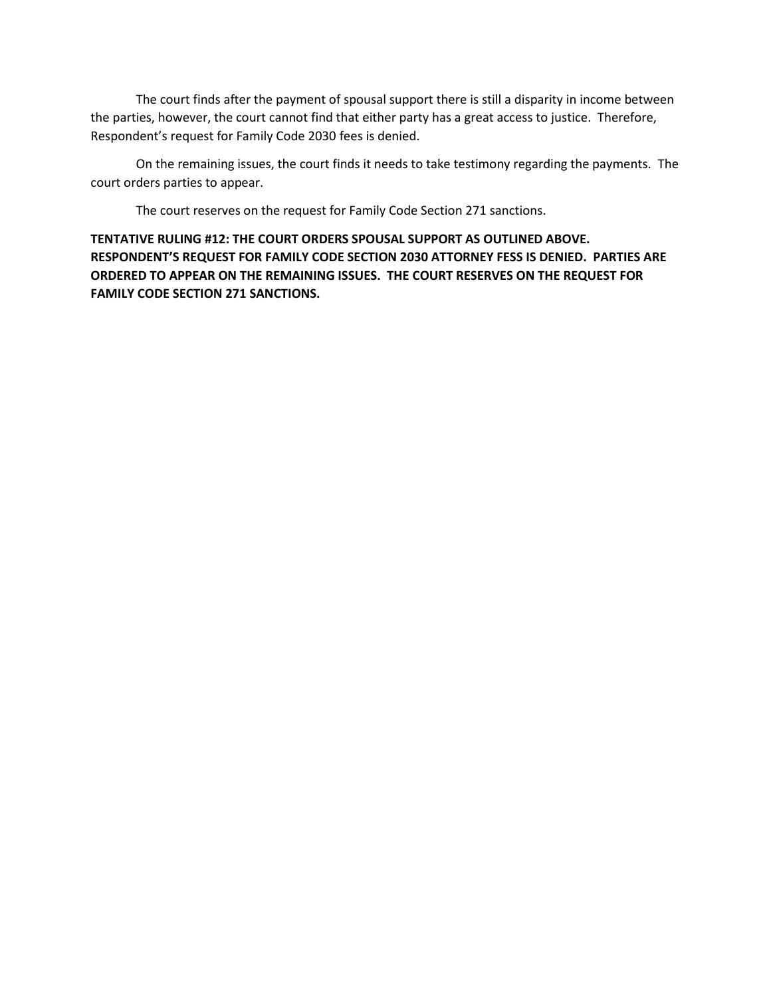The court finds after the payment of spousal support there is still a disparity in income between the parties, however, the court cannot find that either party has a great access to justice. Therefore, Respondent's request for Family Code 2030 fees is denied.

On the remaining issues, the court finds it needs to take testimony regarding the payments. The court orders parties to appear.

The court reserves on the request for Family Code Section 271 sanctions.

**TENTATIVE RULING #12: THE COURT ORDERS SPOUSAL SUPPORT AS OUTLINED ABOVE. RESPONDENT'S REQUEST FOR FAMILY CODE SECTION 2030 ATTORNEY FESS IS DENIED. PARTIES ARE ORDERED TO APPEAR ON THE REMAINING ISSUES. THE COURT RESERVES ON THE REQUEST FOR FAMILY CODE SECTION 271 SANCTIONS.**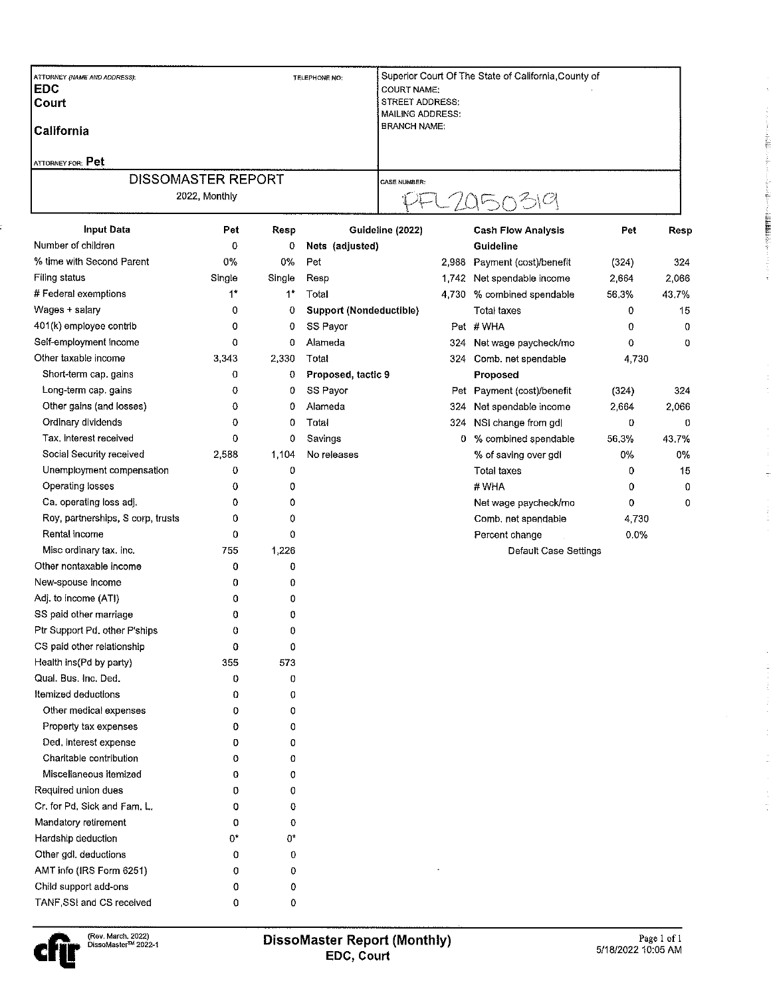| ATTORNEY (NAME AND ADDRESS):<br> EDC<br><b>Court</b><br> California |                           |        | TELEPHONE NO:                  | Superior Court Of The State of California County of<br><b>COURT NAME:</b><br><b>STREET ADDRESS:</b><br><b>MAILING ADDRESS:</b><br><b>BRANCH NAME:</b> |       |                            |         |       |  |
|---------------------------------------------------------------------|---------------------------|--------|--------------------------------|-------------------------------------------------------------------------------------------------------------------------------------------------------|-------|----------------------------|---------|-------|--|
| ATTORNEY FOR: Pet                                                   |                           |        |                                |                                                                                                                                                       |       |                            |         |       |  |
|                                                                     | <b>DISSOMASTER REPORT</b> |        |                                | <b>CASE NUMBER:</b>                                                                                                                                   |       |                            |         |       |  |
| 2022, Monthly                                                       |                           |        |                                |                                                                                                                                                       |       |                            |         |       |  |
| <b>Input Data</b>                                                   | Pet                       | Resp   |                                | Guideline (2022)                                                                                                                                      |       | <b>Cash Flow Analysis</b>  | Pet     | Resp  |  |
| Number of children                                                  | 0                         | 0      | Nets (adjusted)                |                                                                                                                                                       |       | Guideline                  |         |       |  |
| % time with Second Parent                                           | 0%                        | 0%     | Pet                            |                                                                                                                                                       | 2,988 | Payment (cost)/benefit     | (324)   | 324   |  |
| <b>Filing status</b>                                                | Single                    | Single | Resp                           |                                                                                                                                                       | 1,742 | Net spendable income       | 2,664   | 2,066 |  |
| # Federal exemptions                                                | $1*$                      | $1^*$  | Total                          |                                                                                                                                                       | 4,730 | % combined spendable       | 56.3%   | 43.7% |  |
| Wages + salary                                                      | 0                         | 0      | <b>Support (Nondeductible)</b> |                                                                                                                                                       |       | <b>Total taxes</b>         | 0       | 15    |  |
| 401(k) employee contrib                                             | 0                         | 0      | SS Payor                       |                                                                                                                                                       |       | Pet #WHA                   | 0       | 0     |  |
| Self-employment income                                              | 0                         | 0      | Alameda                        |                                                                                                                                                       | 324 - | Net wage paycheck/mo       | 0       | 0     |  |
| Other taxable income                                                | 3,343                     | 2,330  | Total                          |                                                                                                                                                       |       | 324 Comb. net spendable    | 4,730   |       |  |
| Short-term cap. gains                                               | 0                         | 0      | Proposed, tactic 9             |                                                                                                                                                       |       | Proposed                   |         |       |  |
| Long-term cap. gains                                                | 0                         | 0      | SS Payor                       |                                                                                                                                                       |       | Pet Payment (cost)/benefit | (324)   | 324   |  |
| Other gains (and losses)                                            | 0                         | 0      | Alameda                        |                                                                                                                                                       | 324   | Net spendable income       | 2,664   | 2,066 |  |
| Ordinary dividends                                                  | 0                         | 0      | Total                          |                                                                                                                                                       | 324.  | NSI change from gdl        | 0       | 0     |  |
| Tax, interest received                                              | 0                         | 0      | Savings                        |                                                                                                                                                       |       | 0 % combined spendable     | 56.3%   | 43.7% |  |
| Social Security received                                            | 2,588                     | 1,104  | No releases                    |                                                                                                                                                       |       | % of saving over gdl       | 0%      | 0%    |  |
| Unemployment compensation                                           | 0                         | 0      |                                |                                                                                                                                                       |       | <b>Total taxes</b>         | 0       | 15    |  |
| Operating losses                                                    | 0                         | 0      |                                |                                                                                                                                                       |       | #WHA                       | 0       | 0     |  |
| Ca. operating loss adj.                                             | 0                         | 0      |                                |                                                                                                                                                       |       | Net wage paycheck/mo       | 0       | 0     |  |
| Roy, partnerships, S corp, trusts                                   | 0                         | 0      |                                |                                                                                                                                                       |       | Comb, net spendable        | 4,730   |       |  |
| Rental income                                                       | 0                         | 0      |                                |                                                                                                                                                       |       | Percent change             | $0.0\%$ |       |  |
| Misc ordinary tax. inc.                                             | 755                       | 1,226  |                                |                                                                                                                                                       |       | Default Case Settings      |         |       |  |
| Other nontaxable income                                             | 0                         | 0      |                                |                                                                                                                                                       |       |                            |         |       |  |
| New-spouse income                                                   | 0                         | 0      |                                |                                                                                                                                                       |       |                            |         |       |  |
| Adj. to income (ATI)                                                | 0                         | 0      |                                |                                                                                                                                                       |       |                            |         |       |  |
| SS paid other marriage                                              | 0                         | 0      |                                |                                                                                                                                                       |       |                            |         |       |  |
| Ptr Support Pd. other P'ships                                       | 0                         | 0      |                                |                                                                                                                                                       |       |                            |         |       |  |
| CS paid other relationship                                          | 0                         | 0      |                                |                                                                                                                                                       |       |                            |         |       |  |
| Health ins (Pd by party)                                            | 355                       | 573    |                                |                                                                                                                                                       |       |                            |         |       |  |
| Qual. Bus, Inc, Ded.                                                | 0                         | 0      |                                |                                                                                                                                                       |       |                            |         |       |  |
| Itemized deductions                                                 | 0                         | 0      |                                |                                                                                                                                                       |       |                            |         |       |  |
| Other medical expenses                                              | 0                         | 0      |                                |                                                                                                                                                       |       |                            |         |       |  |
| Property tax expenses                                               | 0                         | 0      |                                |                                                                                                                                                       |       |                            |         |       |  |
| Ded, interest expense                                               | 0                         | 0      |                                |                                                                                                                                                       |       |                            |         |       |  |
| Charitable contribution                                             | 0                         | 0      |                                |                                                                                                                                                       |       |                            |         |       |  |
| Miscellaneous itemized                                              | 0                         | 0      |                                |                                                                                                                                                       |       |                            |         |       |  |
| Required union dues                                                 | 0                         | 0      |                                |                                                                                                                                                       |       |                            |         |       |  |
| Cr. for Pd. Sick and Fam. L.                                        | 0                         | 0      |                                |                                                                                                                                                       |       |                            |         |       |  |
| Mandatory retirement                                                | 0                         | 0      |                                |                                                                                                                                                       |       |                            |         |       |  |
| Hardship deduction                                                  | 0*                        | 0*     |                                |                                                                                                                                                       |       |                            |         |       |  |
| Other gdl, deductions                                               | 0                         | 0      |                                |                                                                                                                                                       |       |                            |         |       |  |
| AMT info (IRS Form 6251)                                            | 0                         | 0      |                                |                                                                                                                                                       |       |                            |         |       |  |
| Child support add-ons                                               | 0                         | 0      |                                |                                                                                                                                                       |       |                            |         |       |  |
| TANF, SSI and CS received                                           | 0                         | 0      |                                |                                                                                                                                                       |       |                            |         |       |  |

islist. ż

中国社関係員

Į.

Í,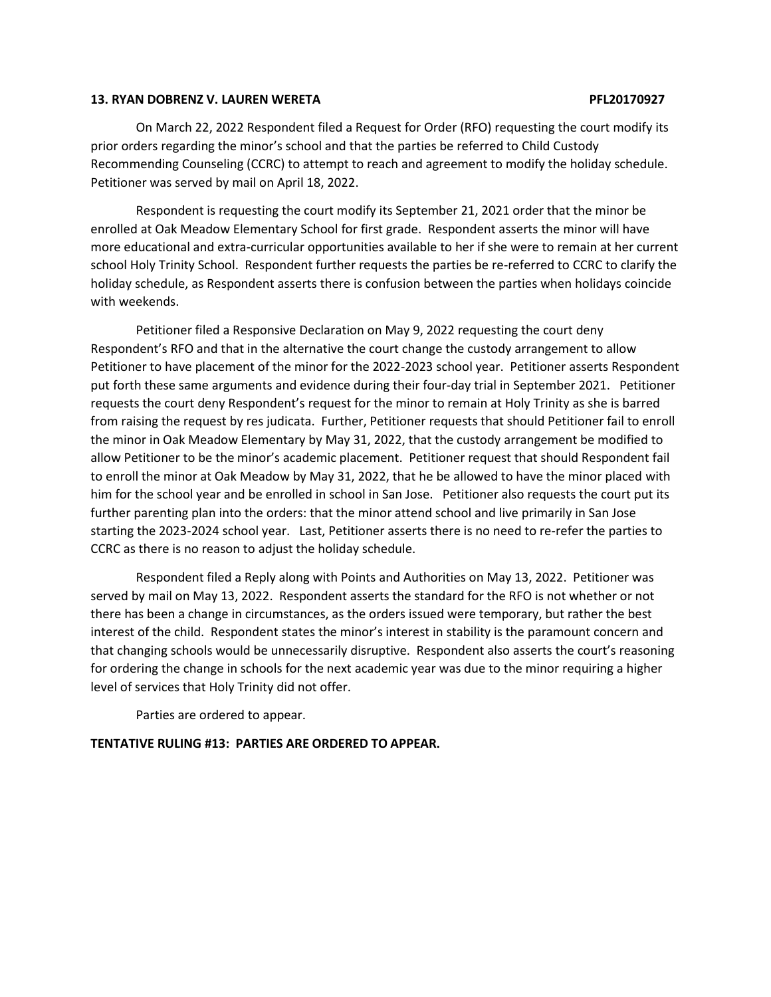### **13. RYAN DOBRENZ V. LAUREN WERETA PFL20170927**

On March 22, 2022 Respondent filed a Request for Order (RFO) requesting the court modify its prior orders regarding the minor's school and that the parties be referred to Child Custody Recommending Counseling (CCRC) to attempt to reach and agreement to modify the holiday schedule. Petitioner was served by mail on April 18, 2022.

Respondent is requesting the court modify its September 21, 2021 order that the minor be enrolled at Oak Meadow Elementary School for first grade. Respondent asserts the minor will have more educational and extra-curricular opportunities available to her if she were to remain at her current school Holy Trinity School. Respondent further requests the parties be re-referred to CCRC to clarify the holiday schedule, as Respondent asserts there is confusion between the parties when holidays coincide with weekends.

Petitioner filed a Responsive Declaration on May 9, 2022 requesting the court deny Respondent's RFO and that in the alternative the court change the custody arrangement to allow Petitioner to have placement of the minor for the 2022-2023 school year. Petitioner asserts Respondent put forth these same arguments and evidence during their four-day trial in September 2021. Petitioner requests the court deny Respondent's request for the minor to remain at Holy Trinity as she is barred from raising the request by res judicata. Further, Petitioner requests that should Petitioner fail to enroll the minor in Oak Meadow Elementary by May 31, 2022, that the custody arrangement be modified to allow Petitioner to be the minor's academic placement. Petitioner request that should Respondent fail to enroll the minor at Oak Meadow by May 31, 2022, that he be allowed to have the minor placed with him for the school year and be enrolled in school in San Jose. Petitioner also requests the court put its further parenting plan into the orders: that the minor attend school and live primarily in San Jose starting the 2023-2024 school year. Last, Petitioner asserts there is no need to re-refer the parties to CCRC as there is no reason to adjust the holiday schedule.

Respondent filed a Reply along with Points and Authorities on May 13, 2022. Petitioner was served by mail on May 13, 2022. Respondent asserts the standard for the RFO is not whether or not there has been a change in circumstances, as the orders issued were temporary, but rather the best interest of the child. Respondent states the minor's interest in stability is the paramount concern and that changing schools would be unnecessarily disruptive. Respondent also asserts the court's reasoning for ordering the change in schools for the next academic year was due to the minor requiring a higher level of services that Holy Trinity did not offer.

Parties are ordered to appear.

# **TENTATIVE RULING #13: PARTIES ARE ORDERED TO APPEAR.**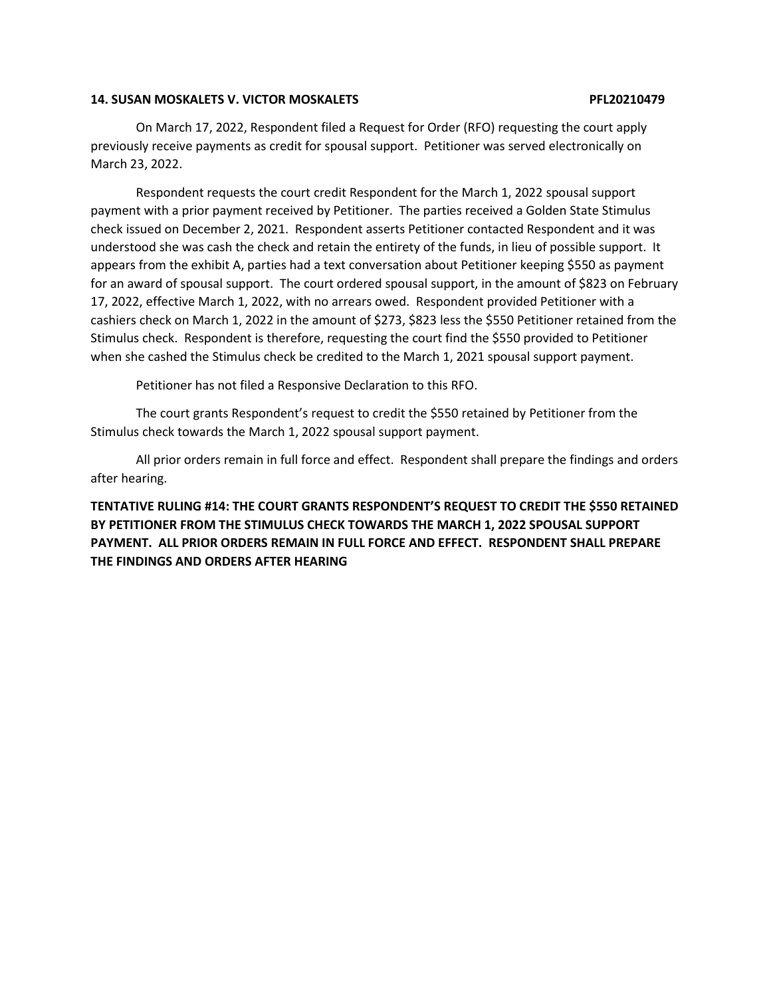## **14. SUSAN MOSKALETS V. VICTOR MOSKALETS PFL20210479**

On March 17, 2022, Respondent filed a Request for Order (RFO) requesting the court apply previously receive payments as credit for spousal support. Petitioner was served electronically on March 23, 2022.

Respondent requests the court credit Respondent for the March 1, 2022 spousal support payment with a prior payment received by Petitioner. The parties received a Golden State Stimulus check issued on December 2, 2021. Respondent asserts Petitioner contacted Respondent and it was understood she was cash the check and retain the entirety of the funds, in lieu of possible support. It appears from the exhibit A, parties had a text conversation about Petitioner keeping \$550 as payment for an award of spousal support. The court ordered spousal support, in the amount of \$823 on February 17, 2022, effective March 1, 2022, with no arrears owed. Respondent provided Petitioner with a cashiers check on March 1, 2022 in the amount of \$273, \$823 less the \$550 Petitioner retained from the Stimulus check. Respondent is therefore, requesting the court find the \$550 provided to Petitioner when she cashed the Stimulus check be credited to the March 1, 2021 spousal support payment.

Petitioner has not filed a Responsive Declaration to this RFO.

The court grants Respondent's request to credit the \$550 retained by Petitioner from the Stimulus check towards the March 1, 2022 spousal support payment.

All prior orders remain in full force and effect. Respondent shall prepare the findings and orders after hearing.

# **TENTATIVE RULING #14: THE COURT GRANTS RESPONDENT'S REQUEST TO CREDIT THE \$550 RETAINED BY PETITIONER FROM THE STIMULUS CHECK TOWARDS THE MARCH 1, 2022 SPOUSAL SUPPORT PAYMENT. ALL PRIOR ORDERS REMAIN IN FULL FORCE AND EFFECT. RESPONDENT SHALL PREPARE THE FINDINGS AND ORDERS AFTER HEARING**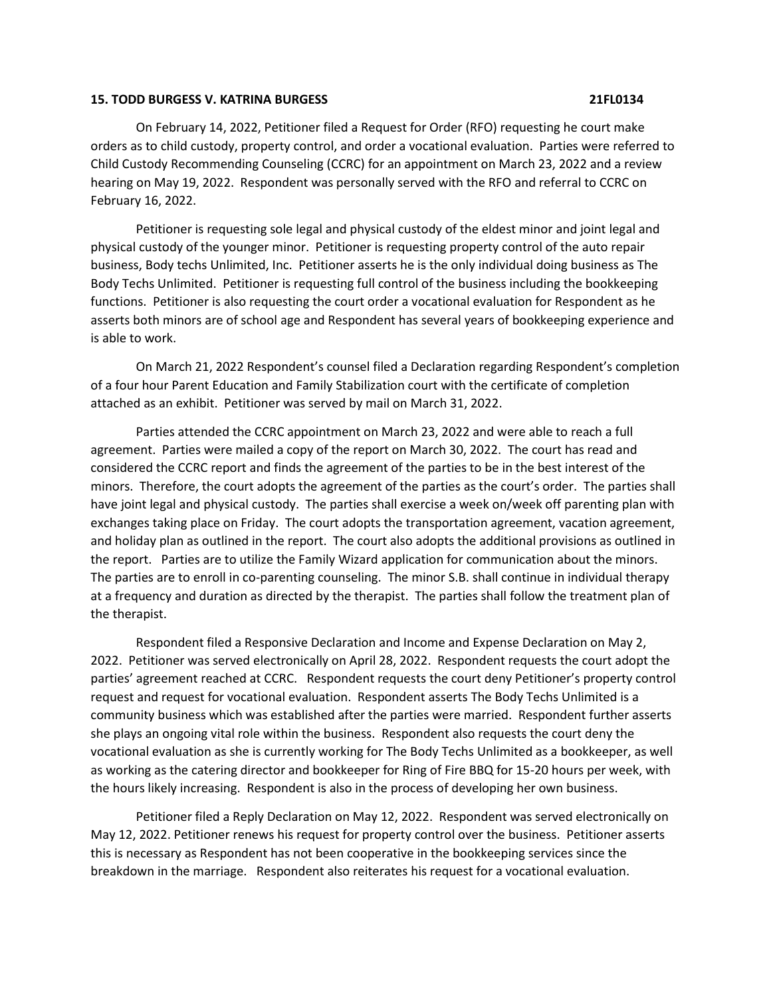### **15. TODD BURGESS V. KATRINA BURGESS 21FL0134**

On February 14, 2022, Petitioner filed a Request for Order (RFO) requesting he court make orders as to child custody, property control, and order a vocational evaluation. Parties were referred to Child Custody Recommending Counseling (CCRC) for an appointment on March 23, 2022 and a review hearing on May 19, 2022. Respondent was personally served with the RFO and referral to CCRC on February 16, 2022.

Petitioner is requesting sole legal and physical custody of the eldest minor and joint legal and physical custody of the younger minor. Petitioner is requesting property control of the auto repair business, Body techs Unlimited, Inc. Petitioner asserts he is the only individual doing business as The Body Techs Unlimited. Petitioner is requesting full control of the business including the bookkeeping functions. Petitioner is also requesting the court order a vocational evaluation for Respondent as he asserts both minors are of school age and Respondent has several years of bookkeeping experience and is able to work.

On March 21, 2022 Respondent's counsel filed a Declaration regarding Respondent's completion of a four hour Parent Education and Family Stabilization court with the certificate of completion attached as an exhibit. Petitioner was served by mail on March 31, 2022.

Parties attended the CCRC appointment on March 23, 2022 and were able to reach a full agreement. Parties were mailed a copy of the report on March 30, 2022. The court has read and considered the CCRC report and finds the agreement of the parties to be in the best interest of the minors. Therefore, the court adopts the agreement of the parties as the court's order. The parties shall have joint legal and physical custody. The parties shall exercise a week on/week off parenting plan with exchanges taking place on Friday. The court adopts the transportation agreement, vacation agreement, and holiday plan as outlined in the report. The court also adopts the additional provisions as outlined in the report. Parties are to utilize the Family Wizard application for communication about the minors. The parties are to enroll in co-parenting counseling. The minor S.B. shall continue in individual therapy at a frequency and duration as directed by the therapist. The parties shall follow the treatment plan of the therapist.

Respondent filed a Responsive Declaration and Income and Expense Declaration on May 2, 2022. Petitioner was served electronically on April 28, 2022. Respondent requests the court adopt the parties' agreement reached at CCRC. Respondent requests the court deny Petitioner's property control request and request for vocational evaluation. Respondent asserts The Body Techs Unlimited is a community business which was established after the parties were married. Respondent further asserts she plays an ongoing vital role within the business. Respondent also requests the court deny the vocational evaluation as she is currently working for The Body Techs Unlimited as a bookkeeper, as well as working as the catering director and bookkeeper for Ring of Fire BBQ for 15-20 hours per week, with the hours likely increasing. Respondent is also in the process of developing her own business.

Petitioner filed a Reply Declaration on May 12, 2022. Respondent was served electronically on May 12, 2022. Petitioner renews his request for property control over the business. Petitioner asserts this is necessary as Respondent has not been cooperative in the bookkeeping services since the breakdown in the marriage. Respondent also reiterates his request for a vocational evaluation.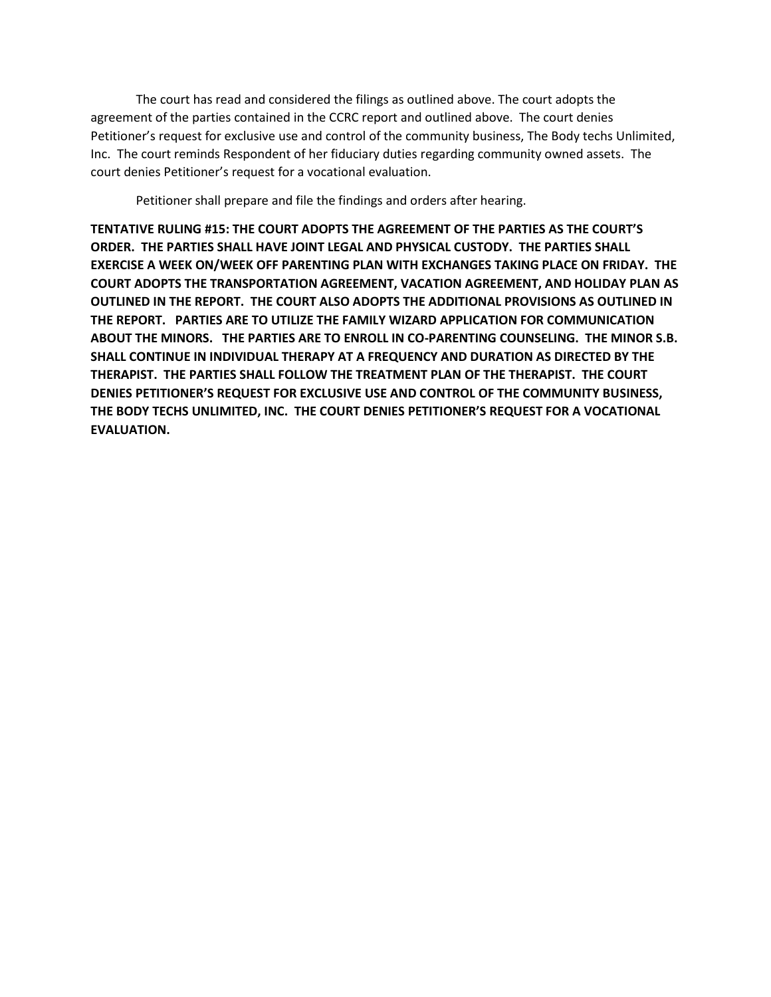The court has read and considered the filings as outlined above. The court adopts the agreement of the parties contained in the CCRC report and outlined above. The court denies Petitioner's request for exclusive use and control of the community business, The Body techs Unlimited, Inc. The court reminds Respondent of her fiduciary duties regarding community owned assets. The court denies Petitioner's request for a vocational evaluation.

Petitioner shall prepare and file the findings and orders after hearing.

**TENTATIVE RULING #15: THE COURT ADOPTS THE AGREEMENT OF THE PARTIES AS THE COURT'S ORDER. THE PARTIES SHALL HAVE JOINT LEGAL AND PHYSICAL CUSTODY. THE PARTIES SHALL EXERCISE A WEEK ON/WEEK OFF PARENTING PLAN WITH EXCHANGES TAKING PLACE ON FRIDAY. THE COURT ADOPTS THE TRANSPORTATION AGREEMENT, VACATION AGREEMENT, AND HOLIDAY PLAN AS OUTLINED IN THE REPORT. THE COURT ALSO ADOPTS THE ADDITIONAL PROVISIONS AS OUTLINED IN THE REPORT. PARTIES ARE TO UTILIZE THE FAMILY WIZARD APPLICATION FOR COMMUNICATION ABOUT THE MINORS. THE PARTIES ARE TO ENROLL IN CO-PARENTING COUNSELING. THE MINOR S.B. SHALL CONTINUE IN INDIVIDUAL THERAPY AT A FREQUENCY AND DURATION AS DIRECTED BY THE THERAPIST. THE PARTIES SHALL FOLLOW THE TREATMENT PLAN OF THE THERAPIST. THE COURT DENIES PETITIONER'S REQUEST FOR EXCLUSIVE USE AND CONTROL OF THE COMMUNITY BUSINESS, THE BODY TECHS UNLIMITED, INC. THE COURT DENIES PETITIONER'S REQUEST FOR A VOCATIONAL EVALUATION.**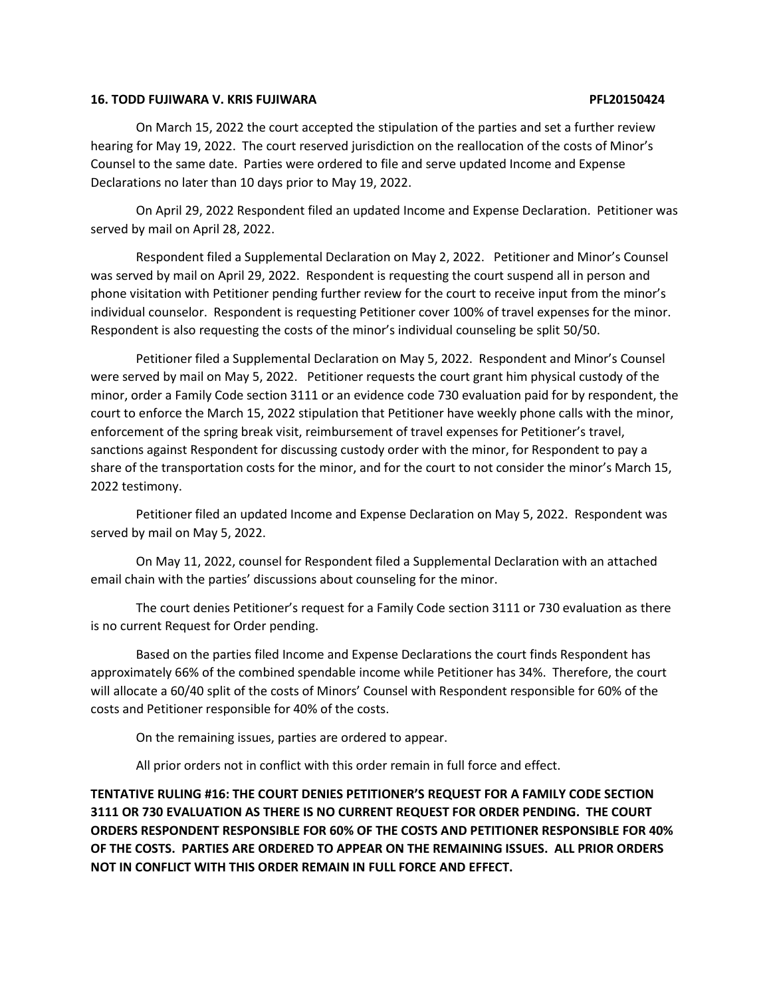## **16. TODD FUJIWARA V. KRIS FUJIWARA PFL20150424**

On March 15, 2022 the court accepted the stipulation of the parties and set a further review hearing for May 19, 2022. The court reserved jurisdiction on the reallocation of the costs of Minor's Counsel to the same date. Parties were ordered to file and serve updated Income and Expense Declarations no later than 10 days prior to May 19, 2022.

On April 29, 2022 Respondent filed an updated Income and Expense Declaration. Petitioner was served by mail on April 28, 2022.

Respondent filed a Supplemental Declaration on May 2, 2022. Petitioner and Minor's Counsel was served by mail on April 29, 2022. Respondent is requesting the court suspend all in person and phone visitation with Petitioner pending further review for the court to receive input from the minor's individual counselor. Respondent is requesting Petitioner cover 100% of travel expenses for the minor. Respondent is also requesting the costs of the minor's individual counseling be split 50/50.

Petitioner filed a Supplemental Declaration on May 5, 2022. Respondent and Minor's Counsel were served by mail on May 5, 2022. Petitioner requests the court grant him physical custody of the minor, order a Family Code section 3111 or an evidence code 730 evaluation paid for by respondent, the court to enforce the March 15, 2022 stipulation that Petitioner have weekly phone calls with the minor, enforcement of the spring break visit, reimbursement of travel expenses for Petitioner's travel, sanctions against Respondent for discussing custody order with the minor, for Respondent to pay a share of the transportation costs for the minor, and for the court to not consider the minor's March 15, 2022 testimony.

Petitioner filed an updated Income and Expense Declaration on May 5, 2022. Respondent was served by mail on May 5, 2022.

On May 11, 2022, counsel for Respondent filed a Supplemental Declaration with an attached email chain with the parties' discussions about counseling for the minor.

The court denies Petitioner's request for a Family Code section 3111 or 730 evaluation as there is no current Request for Order pending.

Based on the parties filed Income and Expense Declarations the court finds Respondent has approximately 66% of the combined spendable income while Petitioner has 34%. Therefore, the court will allocate a 60/40 split of the costs of Minors' Counsel with Respondent responsible for 60% of the costs and Petitioner responsible for 40% of the costs.

On the remaining issues, parties are ordered to appear.

All prior orders not in conflict with this order remain in full force and effect.

**TENTATIVE RULING #16: THE COURT DENIES PETITIONER'S REQUEST FOR A FAMILY CODE SECTION 3111 OR 730 EVALUATION AS THERE IS NO CURRENT REQUEST FOR ORDER PENDING. THE COURT ORDERS RESPONDENT RESPONSIBLE FOR 60% OF THE COSTS AND PETITIONER RESPONSIBLE FOR 40% OF THE COSTS. PARTIES ARE ORDERED TO APPEAR ON THE REMAINING ISSUES. ALL PRIOR ORDERS NOT IN CONFLICT WITH THIS ORDER REMAIN IN FULL FORCE AND EFFECT.**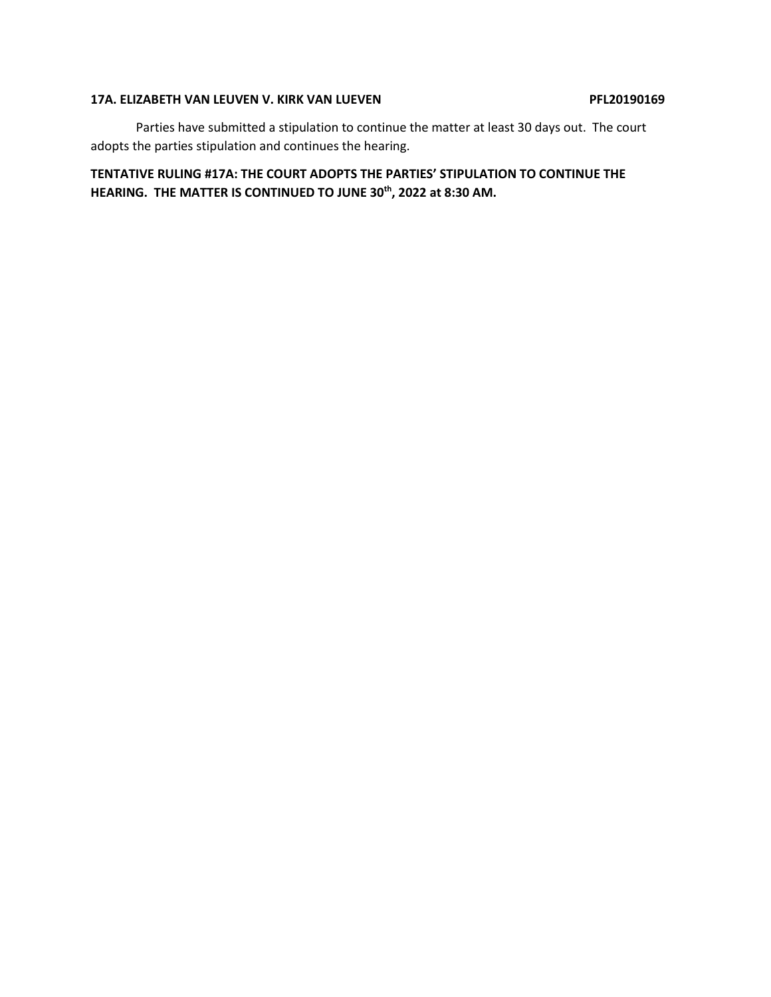## **17A. ELIZABETH VAN LEUVEN V. KIRK VAN LUEVEN PFL20190169**

Parties have submitted a stipulation to continue the matter at least 30 days out. The court adopts the parties stipulation and continues the hearing.

# **TENTATIVE RULING #17A: THE COURT ADOPTS THE PARTIES' STIPULATION TO CONTINUE THE HEARING. THE MATTER IS CONTINUED TO JUNE 30th, 2022 at 8:30 AM.**